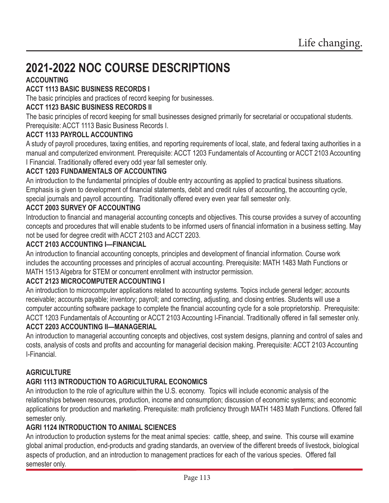# **2021-2022 NOC COURSE DESCRIPTIONS**

# **ACCOUNTING**

### **ACCT 1113 BASIC BUSINESS RECORDS I**

The basic principles and practices of record keeping for businesses.

### **ACCT 1123 BASIC BUSINESS RECORDS II**

The basic principles of record keeping for small businesses designed primarily for secretarial or occupational students. Prerequisite: ACCT 1113 Basic Business Records I.

### **ACCT 1133 PAYROLL ACCOUNTING**

A study of payroll procedures, taxing entities, and reporting requirements of local, state, and federal taxing authorities in a manual and computerized environment. Prerequisite: ACCT 1203 Fundamentals of Accounting or ACCT 2103 Accounting I Financial. Traditionally offered every odd year fall semester only.

### **ACCT 1203 FUNDAMENTALS OF ACCOUNTING**

An introduction to the fundamental principles of double entry accounting as applied to practical business situations. Emphasis is given to development of financial statements, debit and credit rules of accounting, the accounting cycle, special journals and payroll accounting. Traditionally offered every even year fall semester only.

### **ACCT 2003 SURVEY OF ACCOUNTING**

Introduction to financial and managerial accounting concepts and objectives. This course provides a survey of accounting concepts and procedures that will enable students to be informed users of financial information in a business setting. May not be used for degree credit with ACCT 2103 and ACCT 2203.

### **ACCT 2103 ACCOUNTING I—FINANCIAL**

An introduction to financial accounting concepts, principles and development of financial information. Course work includes the accounting processes and principles of accrual accounting. Prerequisite: MATH 1483 Math Functions or MATH 1513 Algebra for STEM or concurrent enrollment with instructor permission.

### **ACCT 2123 MICROCOMPUTER ACCOUNTING I**

An introduction to microcomputer applications related to accounting systems. Topics include general ledger; accounts receivable; accounts payable; inventory; payroll; and correcting, adjusting, and closing entries. Students will use a computer accounting software package to complete the financial accounting cycle for a sole proprietorship. Prerequisite: ACCT 1203 Fundamentals of Accounting or ACCT 2103 Accounting I-Financial. Traditionally offered in fall semester only. **ACCT 2203 ACCOUNTING II—MANAGERIAL**

An introduction to managerial accounting concepts and objectives, cost system designs, planning and control of sales and costs, analysis of costs and profits and accounting for managerial decision making. Prerequisite: ACCT 2103 Accounting I-Financial.

### **AGRICULTURE**

### **AGRI 1113 INTRODUCTION TO AGRICULTURAL ECONOMICS**

An introduction to the role of agriculture within the U.S. economy. Topics will include economic analysis of the relationships between resources, production, income and consumption; discussion of economic systems; and economic applications for production and marketing. Prerequisite: math proficiency through MATH 1483 Math Functions. Offered fall semester only.

### **AGRI 1124 INTRODUCTION TO ANIMAL SCIENCES**

An introduction to production systems for the meat animal species: cattle, sheep, and swine. This course will examine global animal production, end-products and grading standards, an overview of the different breeds of livestock, biological aspects of production, and an introduction to management practices for each of the various species. Offered fall semester only.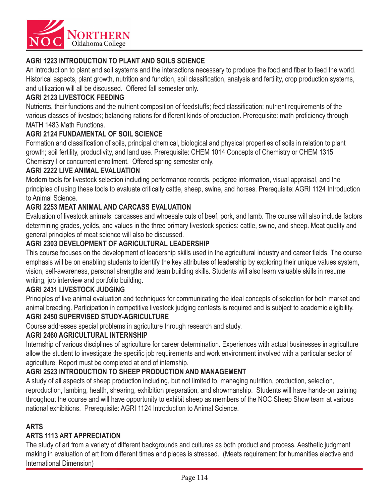

### **AGRI 1223 INTRODUCTION TO PLANT AND SOILS SCIENCE**

An introduction to plant and soil systems and the interactions necessary to produce the food and fiber to feed the world. Historical aspects, plant growth, nutrition and function, soil classification, analysis and fertility, crop production systems, and utilization will all be discussed. Offered fall semester only.

#### **AGRI 2123 LIVESTOCK FEEDING**

Nutrients, their functions and the nutrient composition of feedstuffs; feed classification; nutrient requirements of the various classes of livestock; balancing rations for different kinds of production. Prerequisite: math proficiency through MATH 1483 Math Functions.

#### **AGRI 2124 FUNDAMENTAL OF SOIL SCIENCE**

Formation and classification of soils, principal chemical, biological and physical properties of soils in relation to plant growth; soil fertility, productivity, and land use. Prerequisite: CHEM 1014 Concepts of Chemistry or CHEM 1315 Chemistry I or concurrent enrollment. Offered spring semester only.

#### **AGRI 2222 LIVE ANIMAL EVALUATION**

Modern tools for livestock selection including performance records, pedigree information, visual appraisal, and the principles of using these tools to evaluate critically cattle, sheep, swine, and horses. Prerequisite: AGRI 1124 Introduction to Animal Science.

### **AGRI 2253 MEAT ANIMAL AND CARCASS EVALUATION**

Evaluation of livestock animals, carcasses and whoesale cuts of beef, pork, and lamb. The course will also include factors determining grades, yeilds, and values in the three primary livestock species: cattle, swine, and sheep. Meat quality and general principles of meat science will also be discussed.

#### **AGRI 2303 DEVELOPMENT OF AGRICULTURAL LEADERSHIP**

This course focuses on the development of leadership skills used in the agricultural industry and career fields. The course emphasis will be on enabling students to identify the key attributes of leadership by exploring their unique values system, vision, self-awareness, personal strengths and team building skills. Students will also learn valuable skills in resume writing, job interview and portfolio building.

#### **AGRI 2431 LIVESTOCK JUDGING**

Principles of live animal evaluation and techniques for communicating the ideal concepts of selection for both market and animal breeding. Participation in competitive livestock judging contests is required and is subject to academic eligibility.

### **AGRI 2450 SUPERVISED STUDY-AGRICULTURE**

Course addresses special problems in agriculture through research and study.

#### **AGRI 2460 AGRICULTURAL INTERNSHIP**

Internship of various disciplines of agriculture for career determination. Experiences with actual businesses in agriculture allow the student to investigate the specific job requirements and work environment involved with a particular sector of agriculture. Report must be completed at end of internship.

#### **AGRI 2523 INTRODUCTION TO SHEEP PRODUCTION AND MANAGEMENT**

A study of all aspects of sheep production including, but not limited to, managing nutrition, production, selection, reproduction, lambing, health, shearing, exhibition preparation, and showmanship. Students will have hands-on training throughout the course and will have opportunity to exhibit sheep as members of the NOC Sheep Show team at various national exhibitions. Prerequisite: AGRI 1124 Introduction to Animal Science.

#### **ARTS**

### **ARTS 1113 ART APPRECIATION**

The study of art from a variety of different backgrounds and cultures as both product and process. Aesthetic judgment making in evaluation of art from different times and places is stressed. (Meets requirement for humanities elective and International Dimension)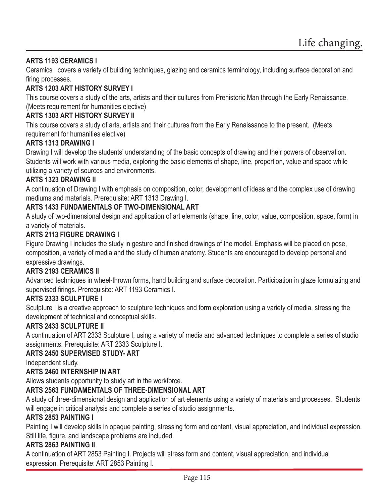### **ARTS 1193 CERAMICS I**

Ceramics I covers a variety of building techniques, glazing and ceramics terminology, including surface decoration and firing processes.

### **ARTS 1203 ART HISTORY SURVEY I**

This course covers a study of the arts, artists and their cultures from Prehistoric Man through the Early Renaissance. (Meets requirement for humanities elective)

### **ARTS 1303 ART HISTORY SURVEY II**

This course covers a study of arts, artists and their cultures from the Early Renaissance to the present. (Meets requirement for humanities elective)

#### **ARTS 1313 DRAWING I**

Drawing I will develop the students' understanding of the basic concepts of drawing and their powers of observation. Students will work with various media, exploring the basic elements of shape, line, proportion, value and space while utilizing a variety of sources and environments.

#### **ARTS 1323 DRAWING II**

A continuation of Drawing I with emphasis on composition, color, development of ideas and the complex use of drawing mediums and materials. Prerequisite: ART 1313 Drawing I.

#### **ARTS 1433 FUNDAMENTALS OF TWO-DIMENSIONAL ART**

A study of two-dimensional design and application of art elements (shape, line, color, value, composition, space, form) in a variety of materials.

#### **ARTS 2113 FIGURE DRAWING I**

Figure Drawing I includes the study in gesture and finished drawings of the model. Emphasis will be placed on pose, composition, a variety of media and the study of human anatomy. Students are encouraged to develop personal and expressive drawings.

#### **ARTS 2193 CERAMICS II**

Advanced techniques in wheel-thrown forms, hand building and surface decoration. Participation in glaze formulating and supervised firings. Prerequisite: ART 1193 Ceramics I.

#### **ARTS 2333 SCULPTURE I**

Sculpture I is a creative approach to sculpture techniques and form exploration using a variety of media, stressing the development of technical and conceptual skills.

#### **ARTS 2433 SCULPTURE II**

A continuation of ART 2333 Sculpture I, using a variety of media and advanced techniques to complete a series of studio assignments. Prerequisite: ART 2333 Sculpture I.

#### **ARTS 2450 SUPERVISED STUDY- ART**

Independent study.

#### **ARTS 2460 INTERNSHIP IN ART**

Allows students opportunity to study art in the workforce.

#### **ARTS 2563 FUNDAMENTALS OF THREE-DIMENSIONAL ART**

A study of three-dimensional design and application of art elements using a variety of materials and processes. Students will engage in critical analysis and complete a series of studio assignments.

#### **ARTS 2853 PAINTING I**

Painting I will develop skills in opaque painting, stressing form and content, visual appreciation, and individual expression. Still life, figure, and landscape problems are included.

#### **ARTS 2863 PAINTING II**

A continuation of ART 2853 Painting I. Projects will stress form and content, visual appreciation, and individual expression. Prerequisite: ART 2853 Painting I.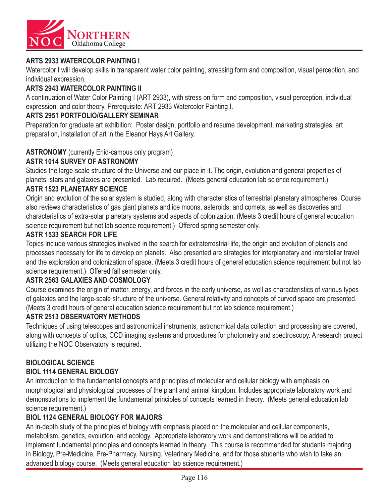

### **ARTS 2933 WATERCOLOR PAINTING I**

Watercolor I will develop skills in transparent water color painting, stressing form and composition, visual perception, and individual expression.

### **ARTS 2943 WATERCOLOR PAINTING II**

A continuation of Water Color Painting I (ART 2933), with stress on form and composition, visual perception, individual expression, and color theory. Prerequisite: ART 2933 Watercolor Painting I.

### **ARTS 2951 PORTFOLIO/GALLERY SEMINAR**

Preparation for graduate art exhibition: Poster design, portfolio and resume development, marketing strategies, art preparation, installation of art in the Eleanor Hays Art Gallery.

#### **ASTRONOMY** (currently Enid-campus only program)

#### **ASTR 1014 SURVEY OF ASTRONOMY**

Studies the large-scale structure of the Universe and our place in it. The origin, evolution and general properties of planets, stars and galaxies are presented. Lab required. (Meets general education lab science requirement.)

#### **ASTR 1523 PLANETARY SCIENCE**

Origin and evolution of the solar system is studied, along with characteristics of terrestrial planetary atmospheres. Course also reviews characteristics of gas giant planets and ice moons, asteroids, and comets, as well as discoveries and characteristics of extra-solar planetary systems abd aspects of colonization. (Meets 3 credit hours of general education science requirement but not lab science requirement.) Offered spring semester only.

#### **ASTR 1533 SEARCH FOR LIFE**

Topics include various strategies involved in the search for extraterrestrial life, the origin and evolution of planets and processes necessary for life to develop on planets. Also presented are strategies for interplanetary and interstellar travel and the exploration and colonization of space. (Meets 3 credit hours of general education science requirement but not lab science requirement.) Offered fall semester only.

#### **ASTR 2563 GALAXIES AND COSMOLOGY**

Course examines the origin of matter, energy, and forces in the early universe, as well as characteristics of various types of galaxies and the large-scale structure of the universe. General relativity and concepts of curved space are presented. (Meets 3 credit hours of general education science requirement but not lab science requirement.)

#### **ASTR 2513 OBSERVATORY METHODS**

Techniques of using telescopes and astronomical instruments, astronomical data collection and processing are covered, along with concepts of optics, CCD imaging systems and procedures for photometry and spectroscopy. A research project utilizing the NOC Observatory is required.

#### **BIOLOGICAL SCIENCE**

#### **BIOL 1114 GENERAL BIOLOGY**

An introduction to the fundamental concepts and principles of molecular and cellular biology with emphasis on morphological and physiological processes of the plant and animal kingdom. Includes appropriate laboratory work and demonstrations to implement the fundamental principles of concepts learned in theory. (Meets general education lab science requirement.)

#### **BIOL 1124 GENERAL BIOLOGY FOR MAJORS**

An in-depth study of the principles of biology with emphasis placed on the molecular and cellular components, metabolism, genetics, evolution, and ecology. Appropriate laboratory work and demonstrations will be added to implement fundamental principles and concepts learned in theory. This course is recommended for students majoring in Biology, Pre-Medicine, Pre-Pharmacy, Nursing, Veterinary Medicine, and for those students who wish to take an advanced biology course. (Meets general education lab science requirement.)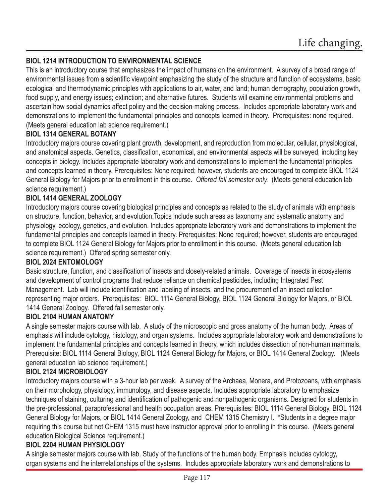### **BIOL 1214 INTRODUCTION TO ENVIRONMENTAL SCIENCE**

This is an introductory course that emphasizes the impact of humans on the environment. A survey of a broad range of environmental issues from a scientific viewpoint emphasizing the study of the structure and function of ecosystems, basic ecological and thermodynamic principles with applications to air, water, and land; human demography, population growth, food supply, and energy issues; extinction; and alternative futures. Students will examine environmental problems and ascertain how social dynamics affect policy and the decision-making process. Includes appropriate laboratory work and demonstrations to implement the fundamental principles and concepts learned in theory. Prerequisites: none required. (Meets general education lab science requirement.)

### **BIOL 1314 GENERAL BOTANY**

Introductory majors course covering plant growth, development, and reproduction from molecular, cellular, physiological, and anatomical aspects. Genetics, classification, economical, and environmental aspects will be surveyed, including key concepts in biology. Includes appropriate laboratory work and demonstrations to implement the fundamental principles and concepts learned in theory. Prerequisites: None required; however, students are encouraged to complete BIOL 1124 General Biology for Majors prior to enrollment in this course. *Offered fall semester only.* (Meets general education lab science requirement.)

### **BIOL 1414 GENERAL ZOOLOGY**

Introductory majors course covering biological principles and concepts as related to the study of animals with emphasis on structure, function, behavior, and evolution.Topics include such areas as taxonomy and systematic anatomy and physiology, ecology, genetics, and evolution. Includes appropriate laboratory work and demonstrations to implement the fundamental principles and concepts learned in theory. Prerequisites: None required; however, students are encouraged to complete BIOL 1124 General Biology for Majors prior to enrollment in this course. (Meets general education lab science requirement.) Offered spring semester only.

### **BIOL 2024 ENTOMOLOGY**

Basic structure, function, and classification of insects and closely-related animals. Coverage of insects in ecosystems and development of control programs that reduce reliance on chemical pesticides, including Integrated Pest Management. Lab will include identification and labeling of insects, and the procurement of an insect collection representing major orders. Prerequisites: BIOL 1114 General Biology, BIOL 1124 General Biology for Majors, or BIOL 1414 General Zoology. Offered fall semester only.

#### **BIOL 2104 HUMAN ANATOMY**

A single semester majors course with lab. A study of the microscopic and gross anatomy of the human body. Areas of emphasis will include cytology, histology, and organ systems. Includes appropriate laboratory work and demonstrations to implement the fundamental principles and concepts learned in theory, which includes dissection of non-human mammals. Prerequisite: BIOL 1114 General Biology, BIOL 1124 General Biology for Majors, or BIOL 1414 General Zoology. (Meets general education lab science requirement.)

#### **BIOL 2124 MICROBIOLOGY**

Introductory majors course with a 3-hour lab per week. A survey of the Archaea, Monera, and Protozoans, with emphasis on their morphology, physiology, immunology, and disease aspects. Includes appropriate laboratory to emphasize techniques of staining, culturing and identification of pathogenic and nonpathogenic organisms. Designed for students in the pre-professional, paraprofessional and health occupation areas. Prerequisites: BIOL 1114 General Biology, BIOL 1124 General Biology for Majors, or BIOL 1414 General Zoology, and CHEM 1315 Chemistry I. \*Students in a degree major requiring this course but not CHEM 1315 must have instructor approval prior to enrolling in this course. (Meets general education Biological Science requirement.)

#### **BIOL 2204 HUMAN PHYSIOLOGY**

A single semester majors course with lab. Study of the functions of the human body. Emphasis includes cytology, organ systems and the interrelationships of the systems. Includes appropriate laboratory work and demonstrations to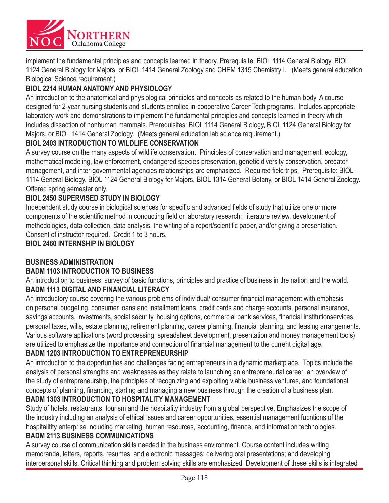

implement the fundamental principles and concepts learned in theory. Prerequisite: BIOL 1114 General Biology, BIOL 1124 General Biology for Majors, or BIOL 1414 General Zoology and CHEM 1315 Chemistry I. (Meets general education Biological Science requirement.)

# **BIOL 2214 HUMAN ANATOMY AND PHYSIOLOGY**

An introduction to the anatomical and physiological principles and concepts as related to the human body. A course designed for 2-year nursing students and students enrolled in cooperative Career Tech programs. Includes appropriate laboratory work and demonstrations to implement the fundamental principles and concepts learned in theory which includes dissection of nonhuman mammals. Prerequisites: BIOL 1114 General Biology, BIOL 1124 General Biology for Majors, or BIOL 1414 General Zoology. (Meets general education lab science requirement.)

### **BIOL 2403 INTRODUCTION TO WILDLIFE CONSERVATION**

A survey course on the many aspects of wildlife conservation. Principles of conservation and management, ecology, mathematical modeling, law enforcement, endangered species preservation, genetic diversity conservation, predator management, and inter-governmental agencies relationships are emphasized. Required field trips. Prerequisite: BIOL 1114 General Biology, BIOL 1124 General Biology for Majors, BIOL 1314 General Botany, or BIOL 1414 General Zoology. Offered spring semester only.

### **BIOL 2450 SUPERVISED STUDY IN BIOLOGY**

Independent study course in biological sciences for specific and advanced fields of study that utilize one or more components of the scientific method in conducting field or laboratory research: literature review, development of methodologies, data collection, data analysis, the writing of a report/scientific paper, and/or giving a presentation. Consent of instructor required. Credit 1 to 3 hours.

**BIOL 2460 INTERNSHIP IN BIOLOGY** 

### **BUSINESS ADMINISTRATION**

#### **BADM 1103 INTRODUCTION TO BUSINESS**

An introduction to business, survey of basic functions, principles and practice of business in the nation and the world. **BADM 1113 DIGITAL AND FINANCIAL LITERACY**

An introductory course covering the various problems of individual/consumer financial management with emphasis on personal budgeting, consumer loans and installment loans, credit cards and charge accounts, personal insurance, savings accounts, investments, social security, housing options, commercial bank services, financial institutionservices, personal taxes, wills, estate planning, retirement planning, career planning, financial planning, and leasing arrangements. Various software apllications (word processing, spreadsheet development, presentation and money management tools) are utilized to emphasize the importance and connection of financial management to the current digital age.

### **BADM 1203 INTRODUCTION TO ENTREPRENEURSHIP**

An introduction to the opportunities and challenges facing entrepreneurs in a dynamic marketplace. Topics include the analysis of personal strengths and weaknesses as they relate to launching an entrepreneurial career, an overview of the study of entrepreneurship, the principles of recognizing and exploiting viable business ventures, and foundational concepts of planning, financing, starting and managing a new business through the creation of a business plan.

### **BADM 1303 INTRODUCTION TO HOSPITALITY MANAGEMENT**

Study of hotels, restaurants, tourism and the hospitality industry from a global perspective. Emphasizes the scope of the industry including an analysis of ethical issues and career opportunities, essential management fucntions of the hospitalitity enterprise including marketing, human resources, accounting, finance, and information technologies.

#### **BADM 2113 BUSINESS COMMUNICATIONS**

A survey course of communication skills needed in the business environment. Course content includes writing memoranda, letters, reports, resumes, and electronic messages; delivering oral presentations; and developing interpersonal skills. Critical thinking and problem solving skills are emphasized. Development of these skills is integrated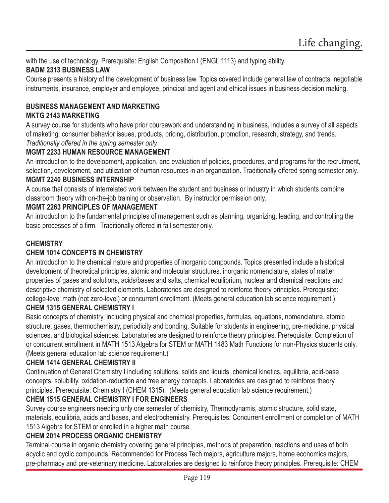with the use of technology. Prerequisite: English Composition I (ENGL 1113) and typing ability. **BADM 2313 BUSINESS LAW**

Course presents a history of the development of business law. Topics covered include general law of contracts, negotiable instruments, insurance, employer and employee, principal and agent and ethical issues in business decision making.

#### **BUSINESS MANAGEMENT AND MARKETING MKTG 2143 MARKETING**

A survey course for students who have prior coursework and understanding in business, includes a survey of all aspects of maketing: consumer behavior issues, products, pricing, distribution, promotion, research, strategy, and trends. *Traditionally offered in the spring semester only.*

### **MGMT 2233 HUMAN RESOURCE MANAGEMENT**

An introduction to the development, application, and evaluation of policies, procedures, and programs for the recruitment, selection, development, and utilization of human resources in an organization. Traditionally offered spring semester only. **MGMT 2240 BUSINESS INTERNSHIP**

A course that consists of interrelated work between the student and business or industry in which students combine classroom theory with on-the-job training or observation. By instructor permission only.

### **MGMT 2263 PRINCIPLES OF MANAGEMENT**

An introduction to the fundamental principles of management such as planning, organizing, leading, and controlling the basic processes of a firm. Traditionally offered in fall semester only.

### **CHEMISTRY**

### **CHEM 1014 CONCEPTS IN CHEMISTRY**

An introduction to the chemical nature and properties of inorganic compounds. Topics presented include a historical development of theoretical principles, atomic and molecular structures, inorganic nomenclature, states of matter, properties of gases and solutions, acids/bases and salts, chemical equilibrium, nuclear and chemical reactions and descriptive chemistry of selected elements. Laboratories are designed to reinforce theory principles. Prerequisite: college-level math (not zero-level) or concurrent enrollment. (Meets general education lab science requirement.)

#### **CHEM 1315 GENERAL CHEMISTRY I**

Basic concepts of chemistry, including physical and chemical properties, formulas, equations, nomenclature, atomic structure, gases, thermochemistry, periodicity and bonding. Suitable for students in engineering, pre-medicine, physical sciences, and biological sciences. Laboratories are designed to reinforce theory principles. Prerequisite: Completion of or concurrent enrollment in MATH 1513 Algebra for STEM or MATH 1483 Math Functions for non-Physics students only. (Meets general education lab science requirement.)

### **CHEM 1414 GENERAL CHEMISTRY II**

Continuation of General Chemistry I including solutions, solids and liquids, chemical kinetics, equilibria, acid-base concepts, solubility, oxidation-reduction and free energy concepts. Laboratories are designed to reinforce theory principles. Prerequisite: Chemistry I (CHEM 1315). (Meets general education lab science requirement.)

### **CHEM 1515 GENERAL CHEMISTRY I FOR ENGINEERS**

Survey course engineers needing only one semester of chemistry, Thermodynamis, atomic structure, solid state, materials, equilibria, acids and bases, and electrochemistry. Prerequisites: Concurrent enrollment or completion of MATH 1513 Algebra for STEM or enrolled in a higher math course.

### **CHEM 2014 PROCESS ORGANIC CHEMISTRY**

Terminal course in organic chemistry covering general principles, methods of preparation, reactions and uses of both acyclic and cyclic compounds. Recommended for Process Tech majors, agriculture majors, home economics majors, pre-pharmacy and pre-veterinary medicine. Laboratories are designed to reinforce theory principles. Prerequisite: CHEM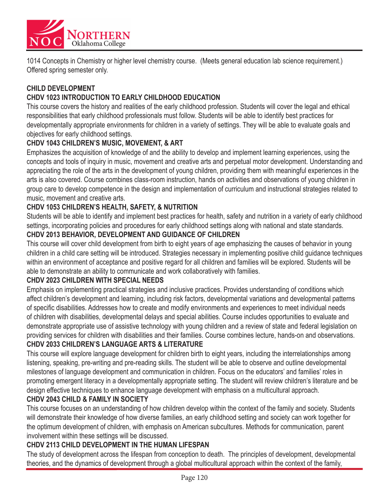

1014 Concepts in Chemistry or higher level chemistry course. (Meets general education lab science requirement.) Offered spring semester only.

#### **CHILD DEVELOPMENT**

### **CHDV 1023 INTRODUCTION TO EARLY CHILDHOOD EDUCATION**

This course covers the history and realities of the early childhood profession. Students will cover the legal and ethical responsibilities that early childhood professionals must follow. Students will be able to identify best practices for developmentally appropriate environments for children in a variety of settings. They will be able to evaluate goals and objectives for early childhood settings.

#### **CHDV 1043 CHILDREN'S MUSIC, MOVEMENT, & ART**

Emphasizes the acquisition of knowledge of and the ability to develop and implement learning experiences, using the concepts and tools of inquiry in music, movement and creative arts and perpetual motor development. Understanding and appreciating the role of the arts in the development of young children, providing them with meaningful experiences in the arts is also covered. Course combines class-room instruction, hands on activities and observations of young children in group care to develop competence in the design and implementation of curriculum and instructional strategies related to music, movement and creative arts.

#### **CHDV 1053 CHILDREN'S HEALTH, SAFETY, & NUTRITION**

Students will be able to identify and implement best practices for health, safety and nutrition in a variety of early childhood settings, incorporating policies and procedures for early childhood settings along with national and state standards.

#### **CHDV 2013 BEHAVIOR, DEVELOPMENT AND GUIDANCE OF CHILDREN**

This course will cover child development from birth to eight years of age emphasizing the causes of behavior in young children in a child care setting will be introduced. Strategies necessary in implementing positive child guidance techniques within an environment of acceptance and positive regard for all children and families will be explored. Students will be able to demonstrate an ability to communicate and work collaboratively with families.

#### **CHDV 2023 CHILDREN WITH SPECIAL NEEDS**

Emphasis on implementing practical strategies and inclusive practices. Provides understanding of conditions which affect children's development and learning, including risk factors, developmental variations and developmental patterns of specific disabilities. Addresses how to create and modify environments and experiences to meet individual needs of children with disabilities, developmental delays and special abilities. Course includes opportunities to evaluate and demonstrate appropriate use of assistive technology with young children and a review of state and federal legislation on providing services for children with disabilities and their families. Course combines lecture, hands-on and observations.

#### **CHDV 2033 CHILDREN'S LANGUAGE ARTS & LITERATURE**

This course will explore language development for children birth to eight years, including the interrelationships among listening, speaking, pre-writing and pre-reading skills. The student will be able to observe and outline developmental milestones of language development and communication in children. Focus on the educators' and families' roles in promoting emergent literacy in a developmentally appropriate setting. The student will review children's literature and be design effective techniques to enhance language development with emphasis on a multicultural approach.

### **CHDV 2043 CHILD & FAMILY IN SOCIETY**

This course focuses on an understanding of how children develop within the context of the family and society. Students will demonstrate their knowledge of how diverse families, an early childhood setting and society can work together for the optimum development of children, with emphasis on American subcultures. Methods for communication, parent involvement within these settings will be discussed.

### **CHDV 2113 CHILD DEVELOPMENT IN THE HUMAN LIFESPAN**

The study of development across the lifespan from conception to death. The principles of development, developmental theories, and the dynamics of development through a global multicultural approach within the context of the family,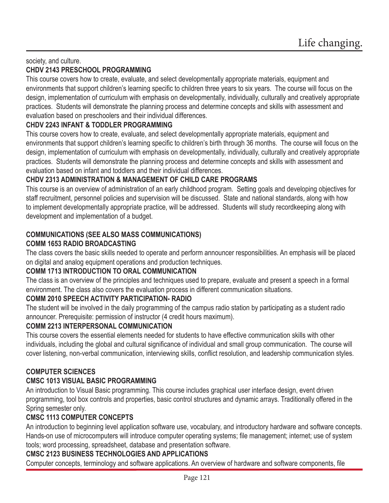#### society, and culture. **CHDV 2143 PRESCHOOL PROGRAMMING**

This course covers how to create, evaluate, and select developmentally appropriate materials, equipment and environments that support children's learning specific to children three years to six years. The course will focus on the design, implementation of curriculum with emphasis on developmentally, individually, culturally and creatively appropriate practices. Students will demonstrate the planning process and determine concepts and skills with assessment and evaluation based on preschoolers and their individual differences.

# **CHDV 2243 INFANT & TODDLER PROGRAMMING**

This course covers how to create, evaluate, and select developmentally appropriate materials, equipment and environments that support children's learning specific to children's birth through 36 months. The course will focus on the design, implementation of curriculum with emphasis on developmentally, individually, culturally and creatively appropriate practices. Students will demonstrate the planning process and determine concepts and skills with assessment and evaluation based on infant and toddlers and their individual differences.

# **CHDV 2313 ADMINISTRATION & MANAGEMENT OF CHILD CARE PROGRAMS**

This course is an overview of administration of an early childhood program. Setting goals and developing objectives for staff recruitment, personnel policies and supervision will be discussed. State and national standards, along with how to implement developmentally appropriate practice, will be addressed. Students will study recordkeeping along with development and implementation of a budget.

#### **COMMUNICATIONS (SEE ALSO MASS COMMUNICATIONS) COMM 1653 RADIO BROADCASTING**

The class covers the basic skills needed to operate and perform announcer responsibilities. An emphasis will be placed on digital and analog equipment operations and production techniques.

### **COMM 1713 INTRODUCTION TO ORAL COMMUNICATION**

The class is an overview of the principles and techniques used to prepare, evaluate and present a speech in a formal environment. The class also covers the evaluation process in different communication situations.

### **COMM 2010 SPEECH ACTIVITY PARTICIPATION- RADIO**

The student will be involved in the daily programming of the campus radio station by participating as a student radio announcer. Prerequisite: permission of instructor (4 credit hours maximum).

### **COMM 2213 INTERPERSONAL COMMUNICATION**

This course covers the essential elements needed for students to have effective communication skills with other individuals, including the global and cultural significance of individual and small group communication. The course will cover listening, non-verbal communication, interviewing skills, conflict resolution, and leadership communication styles.

### **COMPUTER SCIENCES**

# **CMSC 1013 VISUAL BASIC PROGRAMMING**

An introduction to Visual Basic programming. This course includes graphical user interface design, event driven programming, tool box controls and properties, basic control structures and dynamic arrays. Traditionally offered in the Spring semester only.

### **CMSC 1113 COMPUTER CONCEPTS**

An introduction to beginning level application software use, vocabulary, and introductory hardware and software concepts. Hands-on use of microcomputers will introduce computer operating systems; file management; internet; use of system tools; word processing, spreadsheet, database and presentation software.

### **CMSC 2123 BUSINESS TECHNOLOGIES AND APPLICATIONS**

Computer concepts, terminology and software applications. An overview of hardware and software components, file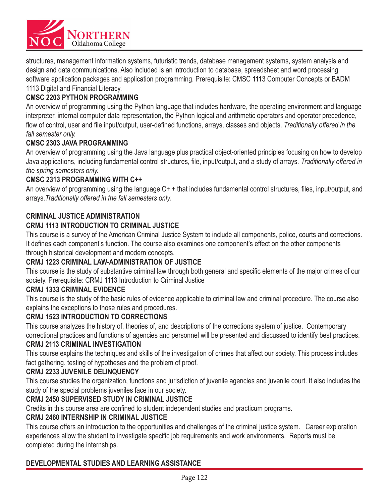

structures, management information systems, futuristic trends, database management systems, system analysis and design and data communications. Also included is an introduction to database, spreadsheet and word processing software application packages and application programming. Prerequisite: CMSC 1113 Computer Concepts or BADM 1113 Digital and Financial Literacy.

### **CMSC 2203 PYTHON PROGRAMMING**

An overview of programming using the Python language that includes hardware, the operating environment and language interpreter, internal computer data representation, the Python logical and arithmetic operators and operator precedence, flow of control, user and file input/output, user-defined functions, arrays, classes and objects. Traditionally offered in the *fall semester only.*

#### **CMSC 2303 JAVA PROGRAMMING**

An overview of programming using the Java language plus practical object-oriented principles focusing on how to develop Java applications, including fundamental control structures, file, input/output, and a study of arrays. Traditionally offered in *the spring semesters only.*

#### **CMSC 2313 PROGRAMMING WITH C++**

An overview of programming using the language  $C_{+}$  + that includes fundamental control structures, files, input/output, and arrays.*Traditionally offered in the fall semesters only.*

#### **CRIMINAL JUSTICE ADMINISTRATION**

#### **CRMJ 1113 INTRODUCTION TO CRIMINAL JUSTICE**

This course is a survey of the American Criminal Justice System to include all components, police, courts and corrections. It defines each component's function. The course also examines one component's effect on the other components through historical development and modern concepts.

#### **CRMJ 1223 CRIMINAL LAW-ADMINISTRATION OF JUSTICE**

This course is the study of substantive criminal law through both general and specific elements of the major crimes of our society. Prerequisite: CRMJ 1113 Introduction to Criminal Justice

#### **CRMJ 1333 CRIMINAL EVIDENCE**

This course is the study of the basic rules of evidence applicable to criminal law and criminal procedure. The course also explains the exceptions to those rules and procedures.

#### **CRMJ 1523 INTRODUCTION TO CORRECTIONS**

This course analyzes the history of, theories of, and descriptions of the corrections system of justice. Contemporary correctional practices and functions of agencies and personnel will be presented and discussed to identify best practices.

#### **CRMJ 2113 CRIMINAL INVESTIGATION**

This course explains the techniques and skills of the investigation of crimes that affect our society. This process includes fact gathering, testing of hypotheses and the problem of proof.

#### **CRMJ 2233 JUVENILE DELINQUENCY**

This course studies the organization, functions and jurisdiction of juvenile agencies and juvenile court. It also includes the study of the special problems juveniles face in our society.

#### **CRMJ 2450 SUPERVISED STUDY IN CRIMINAL JUSTICE**

Credits in this course area are confined to student independent studies and practicum programs.

#### **CRMJ 2460 INTERNSHIP IN CRIMINAL JUSTICE**

This course offers an introduction to the opportunities and challenges of the criminal justice system. Career exploration experiences allow the student to investigate specific job requirements and work environments. Reports must be completed during the internships.

### **DEVELOPMENTAL STUDIES AND LEARNING ASSISTANCE**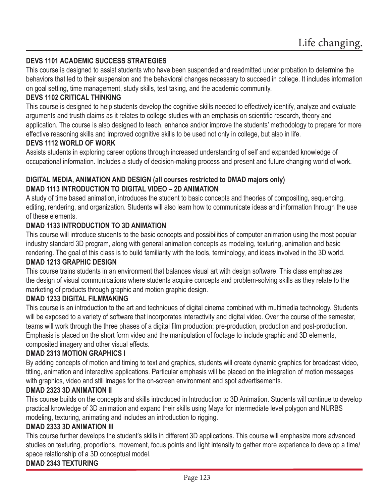### **DEVS 1101 ACADEMIC SUCCESS STRATEGIES**

This course is designed to assist students who have been suspended and readmitted under probation to determine the behaviors that led to their suspension and the behavioral changes necessary to succeed in college. It includes information on goal setting, time management, study skills, test taking, and the academic community.

#### **DEVS 1102 CRITICAL THINKING**

This course is designed to help students develop the cognitive skills needed to effectively identify, analyze and evaluate arguments and trusth claims as it relates to college studies with an emphasis on scientific research, theory and application. The course is also designed to teach, enhance and/or improve the students' methodology to prepare for more effective reasoning skills and improved cognitive skills to be used not only in college, but also in life.

#### **DEVS 1112 WORLD OF WORK**

Assists students in exploring career options through increased understanding of self and expanded knowledge of occupational information. Includes a study of decision-making process and present and future changing world of work.

#### **DIGITAL MEDIA, ANIMATION AND DESIGN (all courses restricted to DMAD majors only) DMAD 1113 INTRODUCTION TO DIGITAL VIDEO – 2D ANIMATION**

A study of time based animation, introduces the student to basic concepts and theories of compositing, sequencing, editing, rendering, and organization. Students will also learn how to communicate ideas and information through the use of these elements.

#### **DMAD 1133 INTRODUCTION TO 3D ANIMATION**

This course will introduce students to the basic concepts and possibilities of computer animation using the most popular industry standard 3D program, along with general animation concepts as modeling, texturing, animation and basic rendering. The goal of this class is to build familiarity with the tools, terminology, and ideas involved in the 3D world.

#### **DMAD 1213 GRAPHIC DESIGN**

This course trains students in an environment that balances visual art with design software. This class emphasizes the design of visual communications where students acquire concepts and problem-solving skills as they relate to the marketing of products through graphic and motion graphic design.

#### **DMAD 1233 DIGITAL FILMMAKING**

This course is an introduction to the art and techniques of digital cinema combined with multimedia technology. Students will be exposed to a variety of software that incorporates interactivity and digital video. Over the course of the semester, teams will work through the three phases of a digital film production: pre-production, production and post-production. Emphasis is placed on the short form video and the manipulation of footage to include graphic and 3D elements, composited imagery and other visual effects.

### **DMAD 2313 MOTION GRAPHICS I**

By adding concepts of motion and timing to text and graphics, students will create dynamic graphics for broadcast video, titling, animation and interactive applications. Particular emphasis will be placed on the integration of motion messages with graphics, video and still images for the on-screen environment and spot advertisements.

#### **DMAD 2323 3D ANIMATION II**

This course builds on the concepts and skills introduced in Introduction to 3D Animation. Students will continue to develop practical knowledge of 3D animation and expand their skills using Maya for intermediate level polygon and NURBS modeling, texturing, animating and includes an introduction to rigging.

#### **DMAD 2333 3D ANIMATION III**

This course further develops the student's skills in different 3D applications. This course will emphasize more advanced studies on texturing, proportions, movement, focus points and light intensity to gather more experience to develop a time/ space relationship of a 3D conceptual model.

#### **DMAD 2343 TEXTURING**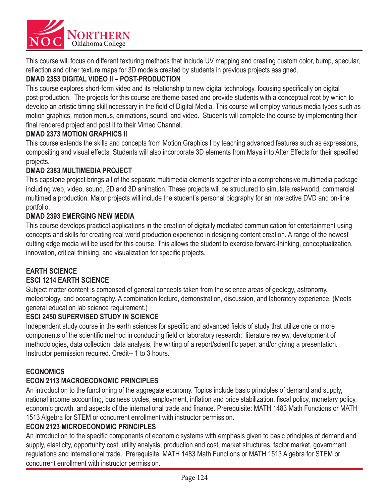

This course will focus on different texturing methods that include UV mapping and creating custom color, bump, specular, reflection and other texture maps for 3D models created by students in previous projects assigned.

### **DMAD 2353 DIGITAL VIDEO II – POST-PRODUCTION**

This course explores short-form video and its relationship to new digital technology, focusing specifically on digital post-production. The projects for this course are theme-based and provide students with a conceptual root by which to develop an artistic timing skill necessary in the field of Digital Media. This course will employ various media types such as motion graphics, motion menus, animations, sound, and video. Students will complete the course by implementing their final rendered project and post it to their Vimeo Channel.

#### **DMAD 2373 MOTION GRAPHICS II**

This course extends the skills and concepts from Motion Graphics I by teaching advanced features such as expressions, compositing and visual effects. Students will also incorporate 3D elements from Maya into After Effects for their specified projects.

#### **DMAD 2383 MULTIMEDIA PROJECT**

This capstone project brings all of the separate multimedia elements together into a comprehensive multimedia package including web, video, sound, 2D and 3D animation. These projects will be structured to simulate real-world, commercial multimedia production. Major projects will include the student's personal biography for an interactive DVD and on-line portfolio.

#### **DMAD 2393 EMERGING NEW MEDIA**

This course develops practical applications in the creation of digitally mediated communication for entertainment using concepts and skills for creating real world production experience in designing content creation. A range of the newest cutting edge media will be used for this course. This allows the student to exercise forward-thinking, conceptualization, innovation, critical thinking, and visualization for specific projects.

#### **EARTH SCIENCE ESCI 1214 EARTH SCIENCE**

Subject matter content is composed of general concepts taken from the science areas of geology, astronomy, meteorology, and oceanography. A combination lecture, demonstration, discussion, and laboratory experience. (Meets general education lab science requirement.)

### **ESCI 2450 SUPERVISED STUDY IN SCIENCE**

Independent study course in the earth sciences for specific and advanced fields of study that utilize one or more components of the scientific method in conducting field or laboratory research: literature review, development of methodologies, data collection, data analysis, the writing of a report/scientific paper, and/or giving a presentation. Instructor permission required. Credit-- 1 to 3 hours.

### **ECONOMICS**

### **ECON 2113 MACROECONOMIC PRINCIPLES**

An introduction to the functioning of the aggregate economy. Topics include basic principles of demand and supply, national income accounting, business cycles, employment, inflation and price stabilization, fiscal policy, monetary policy, economic growth, and aspects of the international trade and finance. Prerequisite: MATH 1483 Math Functions or MATH 1513 Algebra for STEM or concurrent enrollment with instructor permission.

#### **ECON 2123 MICROECONOMIC PRINCIPLES**

An introduction to the specific components of economic systems with emphasis given to basic principles of demand and supply, elasticity, opportunity cost, utility analysis, production and cost, market structures, factor market, government regulations and international trade. Prerequisite: MATH 1483 Math Functions or MATH 1513 Algebra for STEM or concurrent enrollment with instructor permission.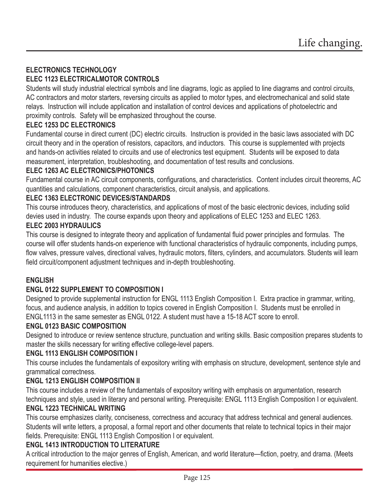# **ELECTRONICS TECHNOLOGY ELEC 1123 ELECTRICALMOTOR CONTROLS**

Students will study industrial electrical symbols and line diagrams, logic as applied to line diagrams and control circuits, AC contractors and motor starters, reversing circuits as applied to motor types, and electromechanical and solid state relays. Instruction will include application and installation of control devices and applications of photoelectric and proximity controls. Safety will be emphasized throughout the course.

### **ELEC 1253 DC ELECTRONICS**

Fundamental course in direct current (DC) electric circuits. Instruction is provided in the basic laws associated with DC circuit theory and in the operation of resistors, capacitors, and inductors. This course is supplemented with projects and hands-on activities related to circuits and use of electronics test equipment. Students will be exposed to data measurement, interpretation, troubleshooting, and documentation of test results and conclusions.

#### **ELEC 1263 AC ELECTRONICS/PHOTONICS**

Fundamental course in AC circuit components, configurations, and characteristics. Content includes circuit theorems, AC quantities and calculations, component characteristics, circuit analysis, and applications.

### **ELEC 1363 ELECTRONIC DEVICES/STANDARDS**

This course introduces theory, characteristics, and applications of most of the basic electronic devices, including solid devies used in industry. The course expands upon theory and applications of ELEC 1253 and ELEC 1263.

#### **ELEC 2003 HYDRAULICS**

This course is designed to integrate theory and application of fundamental fluid power principles and formulas. The course will offer students hands-on experience with functional characteristics of hydraulic components, including pumps, flow valves, pressure valves, directional valves, hydraulic motors, filters, cylinders, and accumulators. Students will learn field circuit/component adjustment techniques and in-depth troubleshooting.

### **ENGLISH**

### **ENGL 0122 SUPPLEMENT TO COMPOSITION I**

Designed to provide supplemental instruction for ENGL 1113 English Composition I. Extra practice in grammar, writing, focus, and audience analysis, in addition to topics covered in English Composition I. Students must be enrolled in ENGL1113 in the same semester as ENGL 0122. A student must have a 15-18 ACT score to enroll.

### **ENGL 0123 BASIC COMPOSITION**

Designed to introduce or review sentence structure, punctuation and writing skills. Basic composition prepares students to master the skills necessary for writing effective college-level papers.

#### **ENGL 1113 ENGLISH COMPOSITION I**

This course includes the fundamentals of expository writing with emphasis on structure, development, sentence style and grammatical correctness.

### **ENGL 1213 ENGLISH COMPOSITION II**

This course includes a review of the fundamentals of expository writing with emphasis on argumentation, research techniques and style, used in literary and personal writing. Prerequisite: ENGL 1113 English Composition I or equivalent.

### **ENGL 1223 TECHNICAL WRITING**

This course emphasizes clarity, conciseness, correctness and accuracy that address technical and general audiences. Students will write letters, a proposal, a formal report and other documents that relate to technical topics in their major fields. Prerequisite: ENGL 1113 English Composition I or equivalent.

### **ENGL 1413 INTRODUCTION TO LITERATURE**

A critical introduction to the major genres of English, American, and world literature—fiction, poetry, and drama. (Meets requirement for humanities elective.)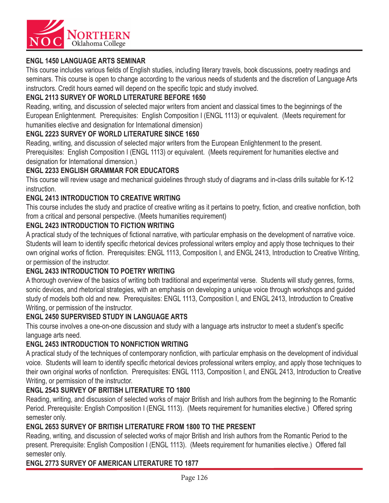

### **ENGL 1450 LANGUAGE ARTS SEMINAR**

This course includes various fields of English studies, including literary travels, book discussions, poetry readings and seminars. This course is open to change according to the various needs of students and the discretion of Language Arts instructors. Credit hours earned will depend on the specific topic and study involved.

### **ENGL 2113 SURVEY OF WORLD LITERATURE BEFORE 1650**

Reading, writing, and discussion of selected major writers from ancient and classical times to the beginnings of the European Enlightenment. Prerequisites: English Composition I (ENGL 1113) or equivalent. (Meets requirement for humanities elective and designation for International dimension)

### **ENGL 2223 SURVEY OF WORLD LITERATURE SINCE 1650**

Reading, writing, and discussion of selected major writers from the European Enlightenment to the present. Prerequisites: English Composition I (ENGL 1113) or equivalent. (Meets requirement for humanities elective and designation for International dimension.)

### **ENGL 2233 ENGLISH GRAMMAR FOR EDUCATORS**

This course will review usage and mechanical guidelines through study of diagrams and in-class drills suitable for K-12 instruction.

### **ENGL 2413 INTRODUCTION TO CREATIVE WRITING**

This course includes the study and practice of creative writing as it pertains to poetry, fiction, and creative nonfiction, both from a critical and personal perspective. (Meets humanities requirement)

### **ENGL 2423 INTRODUCTION TO FICTION WRITING**

A practical study of the techniques of fictional narrative, with particular emphasis on the development of narrative voice. Students will learn to identify specific rhetorical devices professional writers employ and apply those techniques to their own original works of fiction. Prerequisites: ENGL 1113, Composition I, and ENGL 2413, Introduction to Creative Writing, or permission of the instructor.

### **ENGL 2433 INTRODUCTION TO POETRY WRITING**

A thorough overview of the basics of writing both traditional and experimental verse. Students will study genres, forms, sonic devices, and rhetorical strategies, with an emphasis on developing a unique voice through workshops and guided study of models both old and new. Prerequisites: ENGL 1113, Composition I, and ENGL 2413, Introduction to Creative Writing, or permission of the instructor.

### **ENGL 2450 SUPERVISED STUDY IN LANGUAGE ARTS**

This course involves a one-on-one discussion and study with a language arts instructor to meet a student's specific language arts need.

### **ENGL 2453 INTRODUCTION TO NONFICTION WRITING**

A practical study of the techniques of contemporary nonfiction, with particular emphasis on the development of individual voice. Students will learn to identify specific rhetorical devices professional writers employ, and apply those techniques to their own original works of nonfiction. Prerequisites: ENGL 1113, Composition I, and ENGL 2413, Introduction to Creative Writing, or permission of the instructor.

### **ENGL 2543 SURVEY OF BRITISH LITERATURE TO 1800**

Reading, writing, and discussion of selected works of major British and Irish authors from the beginning to the Romantic Period. Prerequisite: English Composition I (ENGL 1113). (Meets requirement for humanities elective.) Offered spring semester only.

### **ENGL 2653 SURVEY OF BRITISH LITERATURE FROM 1800 TO THE PRESENT**

Reading, writing, and discussion of selected works of major British and Irish authors from the Romantic Period to the present. Prerequisite: English Composition I (ENGL 1113). (Meets requirement for humanities elective.) Offered fall semester only.

### **ENGL 2773 SURVEY OF AMERICAN LITERATURE TO 1877**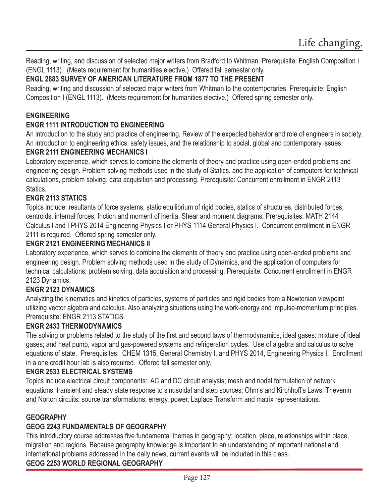Reading, writing, and discussion of selected major writers from Bradford to Whitman. Prerequisite: English Composition I (ENGL 1113). (Meets requirement for humanities elective.) Offered fall semester only.

# **ENGL 2883 SURVEY OF AMERICAN LITERATURE FROM 1877 TO THE PRESENT**

Reading, writing and discussion of selected major writers from Whitman to the contemporaries. Prerequisite: English Composition I (ENGL 1113). (Meets requirement for humanities elective.) Offered spring semester only.

### **ENGINEERING**

# **ENGR 1111 INTRODUCTION TO ENGINEERING**

An introduction to the study and practice of engineering. Review of the expected behavior and role of engineers in society. An introduction to engineering ethics; safety issues, and the relationship to social, global and contemporary issues.

### **ENGR 2111 ENGINEERING MECHANICS I**

Laboratory experience, which serves to combine the elements of theory and practice using open-ended problems and engineering design. Problem solving methods used in the study of Statics, and the application of computers for technical calculations, problem solving, data acquisition and processing. Prerequisite: Concurrent enrollment in ENGR 2113 Statics.

### **ENGR 2113 STATICS**

Topics include: resultants of force systems, static equilibrium of rigid bodies, statics of structures, distributed forces, centroids, internal forces, friction and moment of inertia. Shear and moment diagrams. Prerequisites: MATH 2144 Calculus I and I PHYS 2014 Engineering Physics I or PHYS 1114 General Physics I. Concurrent enrollment in ENGR 2111 is required. Offered spring semester only.

### **ENGR 2121 ENGINEERING MECHANICS II**

Laboratory experience, which serves to combine the elements of theory and practice using open-ended problems and engineering design. Problem solving methods used in the study of Dynamics, and the application of computers for technical calculations, problem solving, data acquisition and processing. Prerequisite: Concurrent enrollment in ENGR 2123 Dynamics.

# **ENGR 2123 DYNAMICS**

Analyzing the kinematics and kinetics of particles, systems of particles and rigid bodies from a Newtonian viewpoint utilizing vector algebra and calculus. Also analyzing situations using the work-energy and impulse-momentum principles. Prerequisite: ENGR 2113 STATICS.

### **ENGR 2433 THERMODYNAMICS**

The solving or problems related to the study of the first and second laws of thermodynamics, ideal gases: mixture of ideal gases; and heat pump, vapor and gas-powered systems and refrigeration cycles. Use of algebra and calculus to solve equations of state. Prerequisites: CHEM 1315, General Chemistry I, and PHYS 2014, Engineering Physics I. Enrollment in a one credit hour lab is also required. Offered fall semester only.

### **ENGR 2533 ELECTRICAL SYSTEMS**

Topics include electrical circuit components: AC and DC circuit analysis; mesh and nodal formulation of network equations; transient and steady state response to sinusoidal and step sources; Ohm's and Kirchhoff's Laws; Thevenin and Norton circuits; source transformations; energy, power, Laplace Transform and matrix representations.

### **GEOGRAPHY**

### **GEOG 2243 FUNDAMENTALS OF GEOGRAPHY**

This introductory course addresses five fundamental themes in geography: location, place, relationships within place, migration and regions. Because geography knowledge is important to an understanding of important national and international problems addressed in the daily news, current events will be included in this class. **GEOG 2253 WORLD REGIONAL GEOGRAPHY**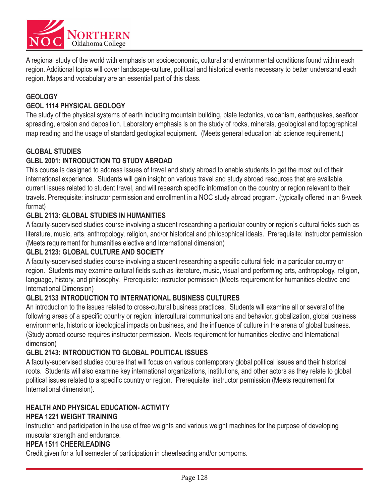

A regional study of the world with emphasis on socioeconomic, cultural and environmental conditions found within each region. Additional topics will cover landscape-culture, political and historical events necessary to better understand each region. Maps and vocabulary are an essential part of this class.

### **GEOLOGY**

#### **GEOL 1114 PHYSICAL GEOLOGY**

The study of the physical systems of earth including mountain building, plate tectonics, volcanism, earthquakes, seafloor spreading, erosion and deposition. Laboratory emphasis is on the study of rocks, minerals, geological and topographical map reading and the usage of standard geological equipment. (Meets general education lab science requirement.)

#### **GLOBAL STUDIES**

#### **GLBL 2001: INTRODUCTION TO STUDY ABROAD**

This course is designed to address issues of travel and study abroad to enable students to get the most out of their international experience. Students will gain insight on various travel and study abroad resources that are available, current issues related to student travel, and will research specific information on the country or region relevant to their travels. Prerequisite: instructor permission and enrollment in a NOC study abroad program. (typically offered in an 8-week format)

#### **GLBL 2113: GLOBAL STUDIES IN HUMANITIES**

A faculty-supervised studies course involving a student researching a particular country or region's cultural fields such as literature, music, arts, anthropology, religion, and/or historical and philosophical ideals. Prerequisite: instructor permission (Meets requirement for humanities elective and International dimension)

### **GLBL 2123: GLOBAL CULTURE AND SOCIETY**

A faculty-supervised studies course involving a student researching a specific cultural field in a particular country or region. Students may examine cultural fields such as literature, music, visual and performing arts, anthropology, religion, language, history, and philosophy. Prerequisite: instructor permission (Meets requirement for humanities elective and International Dimension)

#### **GLBL 2133 INTRODUCTION TO INTERNATIONAL BUSINESS CULTURES**

An introduction to the issues related to cross-cultural business practices. Students will examine all or several of the following areas of a specific country or region: intercultural communications and behavior, globalization, global business environments, historic or ideological impacts on business, and the influence of culture in the arena of global business. (Study abroad course requires instructor permission. Meets requirement for humanities elective and International dimension)

#### **GLBL 2143: INTRODUCTION TO GLOBAL POLITICAL ISSUES**

A faculty-supervised studies course that will focus on various contemporary global political issues and their historical roots. Students will also examine key international organizations, institutions, and other actors as they relate to global political issues related to a specific country or region. Prerequisite: instructor permission (Meets requirement for International dimension).

### **HEALTH AND PHYSICAL EDUCATION- ACTIVITY HPEA 1221 WEIGHT TRAINING**

Instruction and participation in the use of free weights and various weight machines for the purpose of developing muscular strength and endurance.

### **HPEA 1511 CHEERLEADING**

Credit given for a full semester of participation in cheerleading and/or pompoms.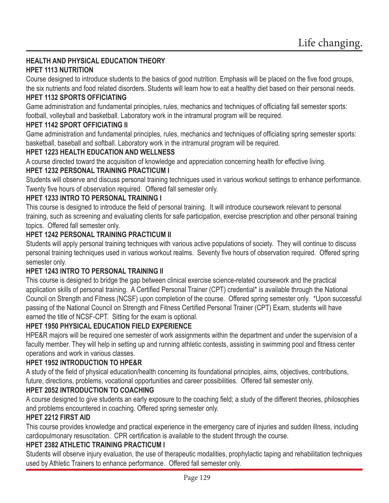### **HEALTH AND PHYSICAL EDUCATION THEORY HPET 1113 NUTRITION**

Course designed to introduce students to the basics of good nutrition. Emphasis will be placed on the five food groups, the six nutrients and food related disorders. Students will learn how to eat a healthy diet based on their personal needs.

### **HPET 1132 SPORTS OFFICIATING**

Game administration and fundamental principles, rules, mechanics and techniques of officiating fall semester sports: football, volleyball and basketball. Laboratory work in the intramural program will be required.

### **HPET 1142 SPORT OFFICIATING II**

Game administration and fundamental principles, rules, mechanics and techniques of officiating spring semester sports: basketball, baseball and softball. Laboratory work in the intramural program will be required.

### **HPET 1223 HEALTH EDUCATION AND WELLNESS**

A course directed toward the acquisition of knowledge and appreciation concerning health for effective living.

### **HPET 1232 PERSONAL TRAINING PRACTICUM I**

Students will observe and discuss personal training techniques used in various workout settings to enhance performance. Twenty five hours of observation required. Offered fall semester only.

### **HPET 1233 INTRO TO PERSONAL TRAINING I**

This course is designed to introduce the field of personal training. It will introduce coursework relevant to personal training, such as screening and evaluating clients for safe participation, exercise prescription and other personal training topics. Offered fall semester only.

### **HPET 1242 PERSONAL TRAINING PRACTICUM II**

Students will apply personal training techniques with various active populations of society. They will continue to discuss personal training techniques used in various workout realms. Seventy five hours of observation required. Offered spring semester only.

### **HPET 1243 INTRO TO PERSONAL TRAINING II**

This course is designed to bridge the gap between clinical exercise science-related coursework and the practical application skills of personal training. A Certified Personal Trainer (CPT) credential\* is available through the National Council on Strength and Fitness (NCSF) upon completion of the course. Offered spring semester only. \*Upon successful passing of the National Council on Strength and Fitness Certified Personal Trainer (CPT) Exam, students will have earned the title of NCSF-CPT. Sitting for the exam is optional.

### **HPET 1950 PHYSICAL EDUCATION FIELD EXPERIENCE**

HPE&R majors will be required one semester of work assignments within the department and under the supervision of a faculty member. They will help in setting up and running athletic contests, assisting in swimming pool and fitness center operations and work in various classes.

### **HPET 1952 INTRODUCTION TO HPE&R**

A study of the field of physical education/health concerning its foundational principles, aims, objectives, contributions, future, directions, problems, vocational opportunities and career possibilities. Offered fall semester only.

### **HPET 2052 INTRODUCTION TO COACHING**

A course designed to give students an early exposure to the coaching field; a study of the different theories, philosophies and problems encountered in coaching. Offered spring semester only.

### **HPET 2212 FIRST AID**

This course provides knowledge and practical experience in the emergency care of injuries and sudden illness, including cardiopulmonary resuscitation. CPR certification is available to the student through the course.

### **HPET 2382 ATHLETIC TRAINING PRACTICUM I**

Students will observe injury evaluation, the use of therapeutic modalities, prophylactic taping and rehabilitation techniques used by Athletic Trainers to enhance performance. Offered fall semester only.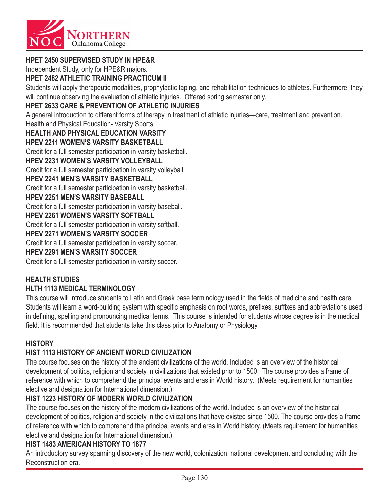

### **HPET 2450 SUPERVISED STUDY IN HPE&R**

Independent Study, only for HPE&R majors.

#### **HPET 2482 ATHLETIC TRAINING PRACTICUM II**

Students will apply therapeutic modalities, prophylactic taping, and rehabilitation techniques to athletes. Furthermore, they will continue observing the evaluation of athletic injuries. Offered spring semester only.

#### **HPET 2633 CARE & PREVENTION OF ATHLETIC INJURIES**

A general introduction to different forms of therapy in treatment of athletic injuries—care, treatment and prevention.

Health and Physical Education- Varsity Sports

**HEALTH AND PHYSICAL EDUCATION VARSITY**

#### **HPEV 2211 WOMEN'S VARSITY BASKETBALL**

Credit for a full semester participation in varsity basketball.

#### **HPEV 2231 WOMEN'S VARSITY VOLLEYBALL**

Credit for a full semester participation in varsity volleyball.

#### **HPEV 2241 MEN'S VARSITY BASKETBALL**

Credit for a full semester participation in varsity basketball.

#### **HPEV 2251 MEN'S VARSITY BASEBALL**

Credit for a full semester participation in varsity baseball.

#### **HPEV 2261 WOMEN'S VARSITY SOFTBALL**

Credit for a full semester participation in varsity softball.

#### **HPEV 2271 WOMEN'S VARSITY SOCCER**

Credit for a full semester participation in varsity soccer.

#### **HPEV 2291 MEN'S VARSITY SOCCER**

Credit for a full semester participation in varsity soccer.

#### **HEALTH STUDIES**

#### **HLTH 1113 MEDICAL TERMINOLOGY**

This course will introduce students to Latin and Greek base terminology used in the fields of medicine and health care. Students will learn a word-building system with specific emphasis on root words, prefixes, suffixes and abbreviations used in defining, spelling and pronouncing medical terms. This course is intended for students whose degree is in the medical field. It is recommended that students take this class prior to Anatomy or Physiology.

#### **HISTORY**

#### **HIST 1113 HISTORY OF ANCIENT WORLD CIVILIZATION**

The course focuses on the history of the ancient civilizations of the world. Included is an overview of the historical development of politics, religion and society in civilizations that existed prior to 1500. The course provides a frame of reference with which to comprehend the principal events and eras in World history. (Meets requirement for humanities elective and designation for International dimension.)

#### **HIST 1223 HISTORY OF MODERN WORLD CIVILIZATION**

The course focuses on the history of the modern civilizations of the world. Included is an overview of the historical development of politics, religion and society in the civilizations that have existed since 1500. The course provides a frame of reference with which to comprehend the principal events and eras in World history. (Meets requirement for humanities elective and designation for International dimension.)

#### **HIST 1483 AMERICAN HISTORY TO 1877**

An introductory survey spanning discovery of the new world, colonization, national development and concluding with the Reconstruction era.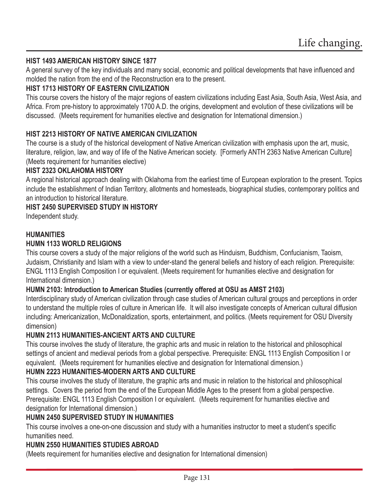### **HIST 1493 AMERICAN HISTORY SINCE 1877**

A general survey of the key individuals and many social, economic and political developments that have influenced and molded the nation from the end of the Reconstruction era to the present.

#### **HIST 1713 HISTORY OF EASTERN CIVILIZATION**

This course covers the history of the major regions of eastern civilizations including East Asia, South Asia, West Asia, and Africa. From pre-history to approximately 1700 A.D. the origins, development and evolution of these civilizations will be discussed. (Meets requirement for humanities elective and designation for International dimension.)

#### **HIST 2213 HISTORY OF NATIVE AMERICAN CIVILIZATION**

The course is a study of the historical development of Native American civilization with emphasis upon the art, music, literature, religion, law, and way of life of the Native American society. [Formerly ANTH 2363 Native American Culture] (Meets requirement for humanities elective)

#### **HIST 2323 OKLAHOMA HISTORY**

A regional historical approach dealing with Oklahoma from the earliest time of European exploration to the present. Topics include the establishment of Indian Territory, allotments and homesteads, biographical studies, contemporary politics and an introduction to historical literature.

#### **HIST 2450 SUPERVISED STUDY IN HISTORY**

Independent study.

#### **HUMANITIES**

#### **HUMN 1133 WORLD RELIGIONS**

This course covers a study of the major religions of the world such as Hinduism, Buddhism, Confucianism, Taoism, Judaism, Christianity and Islam with a view to under-stand the general beliefs and history of each religion. Prerequisite: ENGL 1113 English Composition I or equivalent. (Meets requirement for humanities elective and designation for International dimension.)

#### **HUMN 2103: Introduction to American Studies (currently offered at OSU as AMST 2103)**

Interdisciplinary study of American civilization through case studies of American cultural groups and perceptions in order to understand the multiple roles of culture in American life. It will also investigate concepts of American cultural diffusion including: Americanization, McDonaldization, sports, entertainment, and politics. (Meets requirement for OSU Diversity dimension)

#### **HUMN 2113 HUMANITIES-ANCIENT ARTS AND CULTURE**

This course involves the study of literature, the graphic arts and music in relation to the historical and philosophical settings of ancient and medieval periods from a global perspective. Prerequisite: ENGL 1113 English Composition I or equivalent. (Meets requirement for humanities elective and designation for International dimension.)

#### **HUMN 2223 HUMANITIES-MODERN ARTS AND CULTURE**

This course involves the study of literature, the graphic arts and music in relation to the historical and philosophical settings. Covers the period from the end of the European Middle Ages to the present from a global perspective. Prerequisite: ENGL 1113 English Composition I or equivalent. (Meets requirement for humanities elective and designation for International dimension.)

#### **HUMN 2450 SUPERVISED STUDY IN HUMANITIES**

This course involves a one-on-one discussion and study with a humanities instructor to meet a student's specific humanities need.

#### **HUMN 2550 HUMANITIES STUDIES ABROAD**

(Meets requirement for humanities elective and designation for International dimension)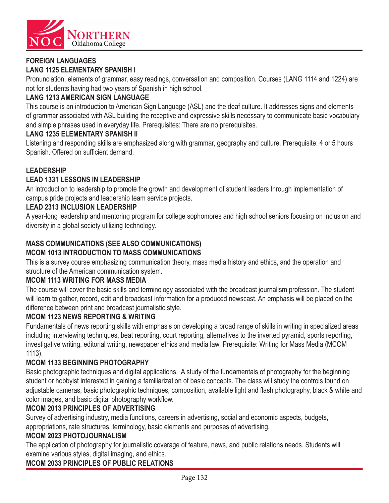

#### **FOREIGN LANGUAGES LANG 1125 ELEMENTARY SPANISH I**

Pronunciation, elements of grammar, easy readings, conversation and composition. Courses (LANG 1114 and 1224) are not for students having had two years of Spanish in high school.

# **LANG 1213 AMERICAN SIGN LANGUAGE**

This course is an introduction to American Sign Language (ASL) and the deaf culture. It addresses signs and elements of grammar associated with ASL building the receptive and expressive skills necessary to communicate basic vocabulary and simple phrases used in everyday life. Prerequisites: There are no prerequisites.

### **LANG 1235 ELEMENTARY SPANISH II**

Listening and responding skills are emphasized along with grammar, geography and culture. Prerequisite: 4 or 5 hours Spanish. Offered on sufficient demand.

### **LEADERSHIP**

### **LEAD 1331 LESSONS IN LEADERSHIP**

An introduction to leadership to promote the growth and development of student leaders through implementation of campus pride projects and leadership team service projects.

### **LEAD 2313 INCLUSION LEADERSHIP**

A year-long leadership and mentoring program for college sophomores and high school seniors focusing on inclusion and diversity in a global society utilizing technology.

### **MASS COMMUNICATIONS (SEE ALSO COMMUNICATIONS) MCOM 1013 INTRODUCTION TO MASS COMMUNICATIONS**

This is a survey course emphasizing communication theory, mass media history and ethics, and the operation and structure of the American communication system.

### **MCOM 1113 WRITING FOR MASS MEDIA**

The course will cover the basic skills and terminology associated with the broadcast journalism profession. The student will learn to gather, record, edit and broadcast information for a produced newscast. An emphasis will be placed on the difference between print and broadcast journalistic style.

# **MCOM 1123 NEWS REPORTING & WRITING**

Fundamentals of news reporting skills with emphasis on developing a broad range of skills in writing in specialized areas including interviewing techniques, beat reporting, court reporting, alternatives to the inverted pyramid, sports reporting, investigative writing, editorial writing, newspaper ethics and media law. Prerequisite: Writing for Mass Media (MCOM 1113).

### **MCOM 1133 BEGINNING PHOTOGRAPHY**

Basic photographic techniques and digital applications. A study of the fundamentals of photography for the beginning student or hobbyist interested in gaining a familiarization of basic concepts. The class will study the controls found on adjustable cameras, basic photographic techniques, composition, available light and flash photography, black & white and color images, and basic digital photography workflow.

### **MCOM 2013 PRINCIPLES OF ADVERTISING**

Survey of advertising industry, media functions, careers in advertising, social and economic aspects, budgets, appropriations, rate structures, terminology, basic elements and purposes of advertising.

### **MCOM 2023 PHOTOJOURNALISM**

The application of photography for journalistic coverage of feature, news, and public relations needs. Students will examine various styles, digital imaging, and ethics.

### **MCOM 2033 PRINCIPLES OF PUBLIC RELATIONS**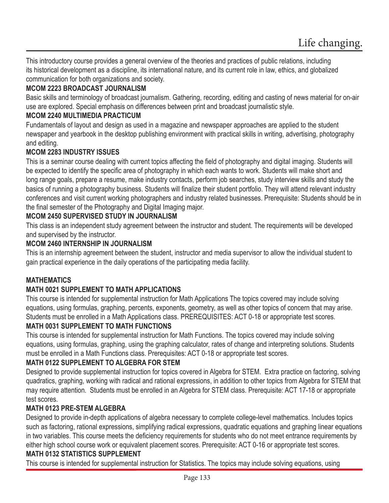This introductory course provides a general overview of the theories and practices of public relations, including its historical development as a discipline, its international nature, and its current role in law, ethics, and globalized communication for both organizations and society.

### **MCOM 2223 BROADCAST JOURNALISM**

Basic skills and terminology of broadcast journalism. Gathering, recording, editing and casting of news material for on-air use are explored. Special emphasis on differences between print and broadcast journalistic style.

### **MCOM 2240 MULTIMEDIA PRACTICUM**

Fundamentals of layout and design as used in a magazine and newspaper approaches are applied to the student newspaper and yearbook in the desktop publishing environment with practical skills in writing, advertising, photography and editing.

### **MCOM 2283 INDUSTRY ISSUES**

This is a seminar course dealing with current topics affecting the field of photography and digital imaging. Students will be expected to identify the specific area of photography in which each wants to work. Students will make short and long range goals, prepare a resume, make industry contacts, perform job searches, study interview skills and study the basics of running a photography business. Students will finalize their student portfolio. They will attend relevant industry conferences and visit current working photographers and industry related businesses. Prerequisite: Students should be in the final semester of the Photography and Digital Imaging major.

### **MCOM 2450 SUPERVISED STUDY IN JOURNALISM**

This class is an independent study agreement between the instructor and student. The requirements will be developed and supervised by the instructor.

#### **MCOM 2460 INTERNSHIP IN JOURNALISM**

This is an internship agreement between the student, instructor and media supervisor to allow the individual student to gain practical experience in the daily operations of the participating media facility.

### **MATHEMATICS**

### **MATH 0021 SUPPLEMENT TO MATH APPLICATIONS**

This course is intended for supplemental instruction for Math Applications The topics covered may include solving equations, using formulas, graphing, percents, exponents, geometry, as well as other topics of concern that may arise. Students must be enrolled in a Math Applications class. PREREQUISITES: ACT 0-18 or appropriate test scores.

# **MATH 0031 SUPPLEMENT TO MATH FUNCTIONS**

This course is intended for supplemental instruction for Math Functions. The topics covered may include solving equations, using formulas, graphing, using the graphing calculator, rates of change and interpreting solutions. Students must be enrolled in a Math Functions class. Prerequisites: ACT 0-18 or appropriate test scores.

### **MATH 0122 SUPPLEMENT TO ALGEBRA FOR STEM**

Designed to provide supplemental instruction for topics covered in Algebra for STEM. Extra practice on factoring, solving quadratics, graphing, working with radical and rational expressions, in addition to other topics from Algebra for STEM that may require attention. Students must be enrolled in an Algebra for STEM class. Prerequisite: ACT 17-18 or appropriate test scores.

### **MATH 0123 PRE-STEM ALGEBRA**

Designed to provide in-depth applications of algebra necessary to complete college-level mathematics. Includes topics such as factoring, rational expressions, simplifying radical expressions, quadratic equations and graphing linear equations in two variables. This course meets the deficiency requirements for students who do not meet entrance requirements by either high school course work or equivalent placement scores. Prerequisite: ACT 0-16 or appropriate test scores.

#### **MATH 0132 STATISTICS SUPPLEMENT**

This course is intended for supplemental instruction for Statistics. The topics may include solving equations, using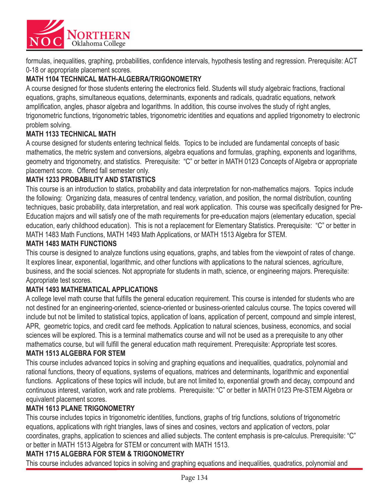

formulas, inequalities, graphing, probabilities, confidence intervals, hypothesis testing and regression. Prerequisite: ACT 0-18 or appropriate placement scores.

### **MATH 1104 TECHNICAL MATH-ALGEBRA/TRIGONOMETRY**

A course designed for those students entering the electronics field. Students will study algebraic fractions, fractional equations, graphs, simultaneous equations, determinants, exponents and radicals, quadratic equations, network amplification, angles, phasor algebra and logarithms. In addition, this course involves the study of right angles, trigonometric functions, trigonometric tables, trigonometric identities and equations and applied trigonometry to electronic problem solving.

#### **MATH 1133 TECHNICAL MATH**

A course designed for students entering technical fields. Topics to be included are fundamental concepts of basic mathematics, the metric system and conversions, algebra equations and formulas, graphing, exponents and logarithms, geometry and trigonometry, and statistics. Prerequisite: "C" or better in MATH 0123 Concepts of Algebra or appropriate placement score. Offered fall semester only.

### **MATH 1233 PROBABILITY AND STATISTICS**

This course is an introduction to statics, probability and data interpretation for non-mathematics majors. Topics include the following: Organizing data, measures of central tendency, variation, and position, the normal distribution, counting techniques, basic probability, data interpretation, and real work application. This course was specifically designed for Pre-Education majors and will satisfy one of the math requirements for pre-education majors (elementary education, special education, early childhood education). This is not a replacement for Elementary Statistics. Prerequisite: "C" or better in MATH 1483 Math Functions, MATH 1493 Math Applications, or MATH 1513 Algebra for STEM.

#### **MATH 1483 MATH FUNCTIONS**

This course is designed to analyze functions using equations, graphs, and tables from the viewpoint of rates of change. It explores linear, exponential, logarithmic, and other functions with applications to the natural sciences, agriculture, business, and the social sciences. Not appropriate for students in math, science, or engineering majors. Prerequisite: Appropriate test scores.

#### **MATH 1493 MATHEMATICAL APPLICATIONS**

A college level math course that fulfills the general education requirement. This course is intended for students who are not destined for an engineering-oriented, science-oriented or business-oriented calculus course. The topics covered will include but not be limited to statistical topics, application of loans, application of percent, compound and simple interest, APR, geometric topics, and credit card fee methods. Application to natural sciences, business, economics, and social sciences will be explored. This is a terminal mathematics course and will not be used as a prerequisite to any other mathematics course, but will fulfill the general education math requirement. Prerequisite: Appropriate test scores.

#### **MATH 1513 ALGEBRA FOR STEM**

This course includes advanced topics in solving and graphing equations and inequalities, quadratics, polynomial and rational functions, theory of equations, systems of equations, matrices and determinants, logarithmic and exponential functions. Applications of these topics will include, but are not limited to, exponential growth and decay, compound and continuous interest, variation, work and rate problems. Prerequisite: "C" or better in MATH 0123 Pre-STEM Algebra or equivalent placement scores.

#### **MATH 1613 PLANE TRIGONOMETRY**

This course includes topics in trigonometric identities, functions, graphs of trig functions, solutions of trigonometric equations, applications with right triangles, laws of sines and cosines, vectors and application of vectors, polar coordinates, graphs, application to sciences and allied subjects. The content emphasis is pre-calculus. Prerequisite: "C" or better in MATH 1513 Algebra for STEM or concurrent with MATH 1513.

#### **MATH 1715 ALGEBRA FOR STEM & TRIGONOMETRY**

This course includes advanced topics in solving and graphing equations and inequalities, quadratics, polynomial and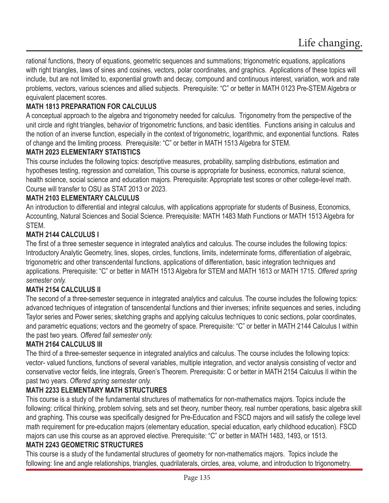rational functions, theory of equations, geometric sequences and summations; trigonometric equations, applications with right triangles, laws of sines and cosines, vectors, polar coordinates, and graphics. Applications of these topics will include, but are not limited to, exponential growth and decay, compound and continuous interest, variation, work and rate problems, vectors, various sciences and allied subjects. Prerequisite: "C" or better in MATH 0123 Pre-STEM Algebra or equivalent placement scores.

### **MATH 1813 PREPARATION FOR CALCULUS**

A conceptual approach to the algebra and trigonometry needed for calculus. Trigonometry from the perspective of the unit circle and right triangles, behavior of trigonometric functions, and basic identities. Functions arising in calculus and the notion of an inverse function, especially in the context of trigonometric, logarithmic, and exponential functions. Rates of change and the limiting process. Prerequisite: "C" or better in MATH 1513 Algebra for STEM.

#### **MATH 2023 ELEMENTARY STATISTICS**

This course includes the following topics: descriptive measures, probability, sampling distributions, estimation and hypotheses testing, regression and correlation, This course is appropriate for business, economics, natural science, health science, social science and education majors. Prerequisite: Appropriate test scores or other college-level math. Course will transfer to OSU as STAT 2013 or 2023.

#### **MATH 2103 ELEMENTARY CALCULUS**

An introduction to differential and integral calculus, with applications appropriate for students of Business, Economics, Accounting, Natural Sciences and Social Science. Prerequisite: MATH 1483 Math Functions or MATH 1513 Algebra for STEM.

### **MATH 2144 CALCULUS I**

The first of a three semester sequence in integrated analytics and calculus. The course includes the following topics: Introductory Analytic Geometry, lines, slopes, circles, functions, limits, indeterminate forms, differentiation of algebraic, trigonometric and other transcendental functions, applications of differentiation, basic integration techniques and applications. Prerequisite: "C" or better in MATH 1513 Algebra for STEM and MATH 1613 or MATH 1715. *Offered spring semester only.*

### **MATH 2154 CALCULUS II**

The second of a three-semester sequence in integrated analytics and calculus. The course includes the following topics: advanced techniques of integration of tanscendental functions and thier inverses; infinite sequences and series, including Taylor series and Power series; sketching graphs and applying calculus techniques to conic sections, polar coordinates, and parametric equations; vectors and the geometry of space. Prerequisite: "C" or better in MATH 2144 Calculus I within the past two years. *Offered fall semester only.*

### **MATH 2164 CALCULUS III**

The third of a three-semester sequence in integrated analytics and calculus. The course includes the following topics: vector- valued functions, functions of several variables, multiple integration, and vector analysis consisting of vector and conservative vector fields, line integrals, Green's Theorem. Prerequisite: C or better in MATH 2154 Calculus II within the past two years. *Offered spring semester only.*

### **MATH 2233 ELEMENTARY MATH STRUCTURES**

This course is a study of the fundamental structures of mathematics for non-mathematics majors. Topics include the following: critical thinking, problem solving, sets and set theory, number theory, real number operations, basic algebra skill and graphing. This course was specifically designed for Pre-Education and FSCD majors and will satisfy the college level math requirement for pre-education majors (elementary education, special education, early childhood education). FSCD majors can use this course as an approved elective. Prerequisite: "C" or better in MATH 1483, 1493, or 1513.

#### **MATH 2243 GEOMETRIC STRUCTURES**

This course is a study of the fundamental structures of geometry for non-mathematics majors. Topics include the following: line and angle relationships, triangles, quadrilaterals, circles, area, volume, and introduction to trigonometry.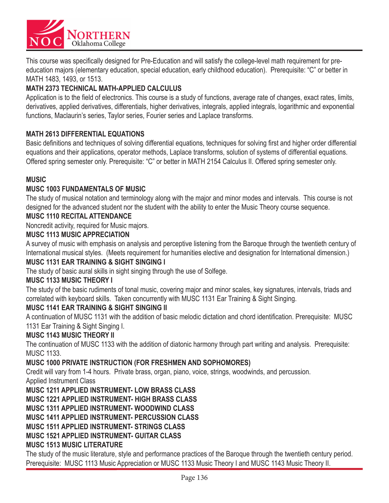

This course was specifically designed for Pre-Education and will satisfy the college-level math requirement for preeducation majors (elementary education, special education, early childhood education). Prerequisite: "C" or better in MATH 1483, 1493, or 1513.

### **MATH 2373 TECHNICAL MATH-APPLIED CALCULUS**

Application is to the field of electronics. This course is a study of functions, average rate of changes, exact rates, limits, derivatives, applied derivatives, differentials, higher derivatives, integrals, applied integrals, logarithmic and exponential functions, Maclaurin's series, Taylor series, Fourier series and Laplace transforms.

#### **MATH 2613 DIFFERENTIAL EQUATIONS**

Basic definitions and techniques of solving differential equations, techniques for solving first and higher order differential equations and their applications, operator methods, Laplace transforms, solution of systems of differential equations. Offered spring semester only. Prerequisite: "C" or better in MATH 2154 Calculus II. Offered spring semester only.

#### **MUSIC**

#### **MUSC 1003 FUNDAMENTALS OF MUSIC**

The study of musical notation and terminology along with the major and minor modes and intervals. This course is not designed for the advanced student nor the student with the ability to enter the Music Theory course sequence.

#### **MUSC 1110 RECITAL ATTENDANCE**

Noncredit activity, required for Music majors.

#### **MUSC 1113 MUSIC APPRECIATION**

A survey of music with emphasis on analysis and perceptive listening from the Baroque through the twentieth century of International musical styles. (Meets requirement for humanities elective and designation for International dimension.)

#### **MUSC 1131 EAR TRAINING & SIGHT SINGING I**

The study of basic aural skills in sight singing through the use of Solfege.

#### **MUSC 1133 MUSIC THEORY I**

The study of the basic rudiments of tonal music, covering major and minor scales, key signatures, intervals, triads and correlated with keyboard skills. Taken concurrently with MUSC 1131 Ear Training & Sight Singing.

#### **MUSC 1141 EAR TRAINING & SIGHT SINGING II**

A continuation of MUSC 1131 with the addition of basic melodic dictation and chord identification. Prerequisite: MUSC 1131 Ear Training & Sight Singing I.

#### **MUSC 1143 MUSIC THEORY II**

The continuation of MUSC 1133 with the addition of diatonic harmony through part writing and analysis. Prerequisite: MUSC 1133.

#### **MUSC 1000 PRIVATE INSTRUCTION (FOR FRESHMEN AND SOPHOMORES)**

Credit will vary from 1-4 hours. Private brass, organ, piano, voice, strings, woodwinds, and percussion. Applied Instrument Class

#### **MUSC 1211 APPLIED INSTRUMENT- LOW BRASS CLASS**

**MUSC 1221 APPLIED INSTRUMENT- HIGH BRASS CLASS**

**MUSC 1311 APPLIED INSTRUMENT- WOODWIND CLASS**

**MUSC 1411 APPLIED INSTRUMENT- PERCUSSION CLASS**

**MUSC 1511 APPLIED INSTRUMENT- STRINGS CLASS**

### **MUSC 1521 APPLIED INSTRUMENT- GUITAR CLASS**

#### **MUSC 1513 MUSIC LITERATURE**

The study of the music literature, style and performance practices of the Baroque through the twentieth century period. Prerequisite: MUSC 1113 Music Appreciation or MUSC 1133 Music Theory I and MUSC 1143 Music Theory II.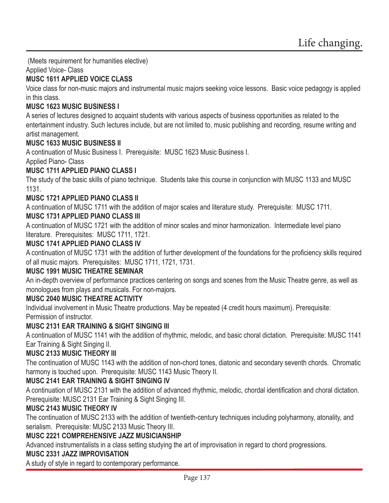(Meets requirement for humanities elective)

Applied Voice- Class

### **MUSC 1611 APPLIED VOICE CLASS**

Voice class for non-music majors and instrumental music majors seeking voice lessons. Basic voice pedagogy is applied in this class.

### **MUSC 1623 MUSIC BUSINESS I**

A series of lectures designed to acquaint students with various aspects of business opportunities as related to the entertainment industry. Such lectures include, but are not limited to, music publishing and recording, resume writing and artist management.

### **MUSC 1633 MUSIC BUSINESS II**

A continuation of Music Business I. Prerequisite: MUSC 1623 Music Business I.

Applied Piano- Class

### **MUSC 1711 APPLIED PIANO CLASS I**

The study of the basic skills of piano technique. Students take this course in conjunction with MUSC 1133 and MUSC 1131.

### **MUSC 1721 APPLIED PIANO CLASS II**

A continuation of MUSC 1711 with the addition of major scales and literature study. Prerequisite: MUSC 1711.

### **MUSC 1731 APPLIED PIANO CLASS III**

A continuation of MUSC 1721 with the addition of minor scales and minor harmonization. Intermediate level piano literature. Prerequisites: MUSC 1711, 1721.

#### **MUSC 1741 APPLIED PIANO CLASS IV**

A continuation of MUSC 1731 with the addition of further development of the foundations for the proficiency skills required of all music majors. Prerequisites: MUSC 1711, 1721, 1731.

#### **MUSC 1991 MUSIC THEATRE SEMINAR**

An in-depth overview of performance practices centering on songs and scenes from the Music Theatre genre, as well as monologues from plays and musicals. For non-majors.

#### **MUSC 2040 MUSIC THEATRE ACTIVITY**

Individual involvement in Music Theatre productions. May be repeated (4 credit hours maximum). Prerequisite: Permission of instructor.

#### **MUSC 2131 EAR TRAINING & SIGHT SINGING III**

A continuation of MUSC 1141 with the addition of rhythmic, melodic, and basic choral dictation. Prerequisite: MUSC 1141 Ear Training & Sight Singing II.

### **MUSC 2133 MUSIC THEORY III**

The continuation of MUSC 1143 with the addition of non-chord tones, diatonic and secondary seventh chords. Chromatic harmony is touched upon. Prerequisite: MUSC 1143 Music Theory II.

### **MUSC 2141 EAR TRAINING & SIGHT SINGING IV**

A continuation of MUSC 2131 with the addition of advanced rhythmic, melodic, chordal identification and choral dictation. Prerequisite: MUSC 2131 Ear Training & Sight Singing III.

#### **MUSC 2143 MUSIC THEORY IV**

The continuation of MUSC 2133 with the addition of twentieth-century techniques including polyharmony, atonality, and serialism. Prerequisite: MUSC 2133 Music Theory III.

### **MUSC 2221 COMPREHENSIVE JAZZ MUSICIANSHIP**

Advanced instrumentalists in a class setting studying the art of improvisation in regard to chord progressions.

#### **MUSC 2331 JAZZ IMPROVISATION**

A study of style in regard to contemporary performance.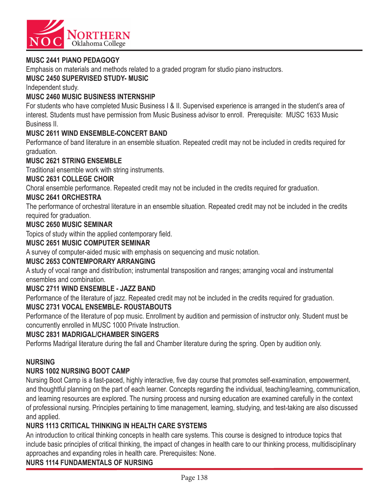

#### **MUSC 2441 PIANO PEDAGOGY**

Emphasis on materials and methods related to a graded program for studio piano instructors.

#### **MUSC 2450 SUPERVISED STUDY- MUSIC**

Independent study.

#### **MUSC 2460 MUSIC BUSINESS INTERNSHIP**

For students who have completed Music Business I & II. Supervised experience is arranged in the student's area of interest. Students must have permission from Music Business advisor to enroll. Prerequisite: MUSC 1633 Music Business II.

#### **MUSC 2611 WIND ENSEMBLE-CONCERT BAND**

Performance of band literature in an ensemble situation. Repeated credit may not be included in credits required for graduation.

#### **MUSC 2621 STRING ENSEMBLE**

Traditional ensemble work with string instruments.

#### **MUSC 2631 COLLEGE CHOIR**

Choral ensemble performance. Repeated credit may not be included in the credits required for graduation.

#### **MUSC 2641 ORCHESTRA**

The performance of orchestral literature in an ensemble situation. Repeated credit may not be included in the credits required for graduation.

#### **MUSC 2650 MUSIC SEMINAR**

Topics of study within the applied contemporary field.

#### **MUSC 2651 MUSIC COMPUTER SEMINAR**

A survey of computer-aided music with emphasis on sequencing and music notation.

#### **MUSC 2653 CONTEMPORARY ARRANGING**

A study of vocal range and distribution; instrumental transposition and ranges; arranging vocal and instrumental ensembles and combination.

#### **MUSC 2711 WIND ENSEMBLE - JAZZ BAND**

Performance of the literature of jazz. Repeated credit may not be included in the credits required for graduation.

#### **MUSC 2731 VOCAL ENSEMBLE- ROUSTABOUTS**

Performance of the literature of pop music. Enrollment by audition and permission of instructor only. Student must be concurrently enrolled in MUSC 1000 Private Instruction.

#### **MUSC 2831 MADRIGAL/CHAMBER SINGERS**

Performs Madrigal literature during the fall and Chamber literature during the spring. Open by audition only.

#### **NURSING**

#### **NURS 1002 NURSING BOOT CAMP**

Nursing Boot Camp is a fast-paced, highly interactive, five day course that promotes self-examination, empowerment, and thoughtful planning on the part of each learner. Concepts regarding the individual, teaching/learning, communication, and learning resources are explored. The nursing process and nursing education are examined carefully in the context of professional nursing. Principles pertaining to time management, learning, studying, and test-taking are also discussed and applied.

#### **NURS 1113 CRITICAL THINKING IN HEALTH CARE SYSTEMS**

An introduction to critical thinking concepts in health care systems. This course is designed to introduce topics that include basic principles of critical thinking, the impact of changes in health care to our thinking process, multidisciplinary approaches and expanding roles in health care. Prerequisites: None.

#### **NURS 1114 FUNDAMENTALS OF NURSING**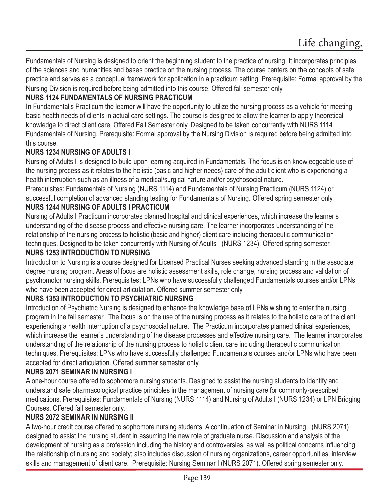Fundamentals of Nursing is designed to orient the beginning student to the practice of nursing. It incorporates principles of the sciences and humanities and bases practice on the nursing process. The course centers on the concepts of safe practice and serves as a conceptual framework for application in a practicum setting. Prerequisite: Formal approval by the Nursing Division is required before being admitted into this course. Offered fall semester only.

### **NURS 1124 FUNDAMENTALS OF NURSING PRACTICUM**

In Fundamental's Practicum the learner will have the opportunity to utilize the nursing process as a vehicle for meeting basic health needs of clients in actual care settings. The course is designed to allow the learner to apply theoretical knowledge to direct client care. Offered Fall Semester only. Designed to be taken concurrently with NURS 1114 Fundamentals of Nursing. Prerequisite: Formal approval by the Nursing Division is required before being admitted into this course.

#### **NURS 1234 NURSING OF ADULTS I**

Nursing of Adults I is designed to build upon learning acquired in Fundamentals. The focus is on knowledgeable use of the nursing process as it relates to the holistic (basic and higher needs) care of the adult client who is experiencing a health interruption such as an illness of a medical/surgical nature and/or psychosocial nature.

Prerequisites: Fundamentals of Nursing (NURS 1114) and Fundamentals of Nursing Practicum (NURS 1124) or successful completion of advanced standing testing for Fundamentals of Nursing. Offered spring semester only. **NURS 1244 NURSING OF ADULTS I PRACTICUM**

Nursing of Adults I Practicum incorporates planned hospital and clinical experiences, which increase the learner's understanding of the disease process and effective nursing care. The learner incorporates understanding of the relationship of the nursing process to holistic (basic and higher) client care including therapeutic communication techniques. Designed to be taken concurrently with Nursing of Adults I (NURS 1234). Offered spring semester. **NURS 1253 INTRODUCTION TO NURSING**

Introduction to Nursing is a course designed for Licensed Practical Nurses seeking advanced standing in the associate degree nursing program. Areas of focus are holistic assessment skills, role change, nursing process and validation of psychomotor nursing skills. Prerequisites: LPNs who have successfully challenged Fundamentals courses and/or LPNs who have been accepted for direct articulation. Offered summer semester only.

#### **NURS 1353 INTRODUCTION TO PSYCHIATRIC NURSING**

Introduction of Psychiatric Nursing is designed to enhance the knowledge base of LPNs wishing to enter the nursing program in the fall semester. The focus is on the use of the nursing process as it relates to the holistic care of the client experiencing a health interruption of a psychosocial nature. The Practicum incorporates planned clinical experiences, which increase the learner's understanding of the disease processes and effective nursing care. The learner incorporates understanding of the relationship of the nursing process to holistic client care including therapeutic communication techniques. Prerequisites: LPNs who have successfully challenged Fundamentals courses and/or LPNs who have been accepted for direct articulation. Offered summer semester only.

#### **NURS 2071 SEMINAR IN NURSING I**

A one-hour course offered to sophomore nursing students. Designed to assist the nursing students to identify and understand safe pharmacological practice principles in the management of nursing care for commonly-prescribed medications. Prerequisites: Fundamentals of Nursing (NURS 1114) and Nursing of Adults I (NURS 1234) or LPN Bridging Courses. Offered fall semester only.

#### **NURS 2072 SEMINAR IN NURSING II**

A two-hour credit course offered to sophomore nursing students. A continuation of Seminar in Nursing I (NURS 2071) designed to assist the nursing student in assuming the new role of graduate nurse. Discussion and analysis of the development of nursing as a profession including the history and controversies, as well as political concerns influencing the relationship of nursing and society; also includes discussion of nursing organizations, career opportunities, interview skills and management of client care. Prerequisite: Nursing Seminar I (NURS 2071). Offered spring semester only.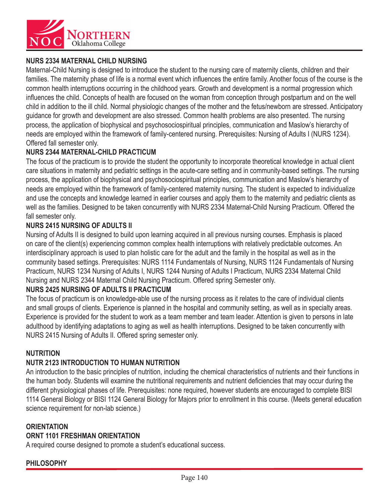

### **NURS 2334 MATERNAL CHILD NURSING**

Maternal-Child Nursing is designed to introduce the student to the nursing care of maternity clients, children and their families. The maternity phase of life is a normal event which influences the entire family. Another focus of the course is the common health interruptions occurring in the childhood years. Growth and development is a normal progression which influences the child. Concepts of health are focused on the woman from conception through postpartum and on the well child in addition to the ill child. Normal physiologic changes of the mother and the fetus/newborn are stressed. Anticipatory guidance for growth and development are also stressed. Common health problems are also presented. The nursing process, the application of biophysical and psychosociospiritual principles, communication and Maslow's hierarchy of needs are employed within the framework of family-centered nursing. Prerequisites: Nursing of Adults I (NURS 1234). Offered fall semester only.

#### **NURS 2344 MATERNAL-CHILD PRACTICUM**

The focus of the practicum is to provide the student the opportunity to incorporate theoretical knowledge in actual client care situations in maternity and pediatric settings in the acute-care setting and in community-based settings. The nursing process, the application of biophysical and psychosociospiritual principles, communication and Maslow's hierarchy of needs are employed within the framework of family-centered maternity nursing. The student is expected to individualize and use the concepts and knowledge learned in earlier courses and apply them to the maternity and pediatric clients as well as the families. Designed to be taken concurrently with NURS 2334 Maternal-Child Nursing Practicum. Offered the fall semester only.

#### **NURS 2415 NURSING OF ADULTS II**

Nursing of Adults II is designed to build upon learning acquired in all previous nursing courses. Emphasis is placed on care of the client(s) experiencing common complex health interruptions with relatively predictable outcomes. An interdisciplinary approach is used to plan holistic care for the adult and the family in the hospital as well as in the community based settings. Prerequisites: NURS 1114 Fundamentals of Nursing, NURS 1124 Fundamentals of Nursing Practicum, NURS 1234 Nursing of Adults I, NURS 1244 Nursing of Adults I Practicum, NURS 2334 Maternal Child Nursing and NURS 2344 Maternal Child Nursing Practicum. Offered spring Semester only.

#### **NURS 2425 NURSING OF ADULTS II PRACTICUM**

The focus of practicum is on knowledge-able use of the nursing process as it relates to the care of individual clients and small groups of clients. Experience is planned in the hospital and community setting, as well as in specialty areas. Experience is provided for the student to work as a team member and team leader. Attention is given to persons in late adulthood by identifying adaptations to aging as well as health interruptions. Designed to be taken concurrently with NURS 2415 Nursing of Adults II. Offered spring semester only.

#### **NUTRITION**

#### **NUTR 2123 INTRODUCTION TO HUMAN NUTRITION**

An introduction to the basic principles of nutrition, including the chemical characteristics of nutrients and their functions in the human body. Students will examine the nutritional requirements and nutrient deficiencies that may occur during the different physiological phases of life. Prerequisites: none required, however students are encouraged to complete BISI 1114 General Biology or BISI 1124 General Biology for Majors prior to enrollment in this course. (Meets general education science requirement for non-lab science.)

### **ORIENTATION ORNT 1101 FRESHMAN ORIENTATION**

A required course designed to promote a student's educational success.

### **PHILOSOPHY**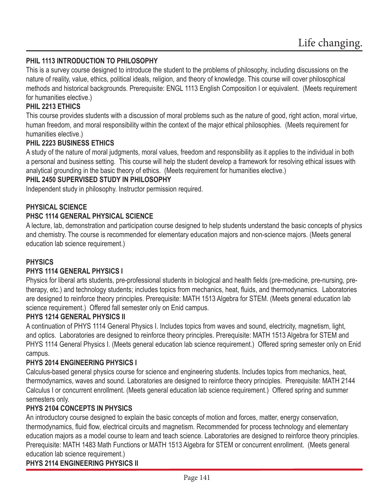#### **PHIL 1113 INTRODUCTION TO PHILOSOPHY**

This is a survey course designed to introduce the student to the problems of philosophy, including discussions on the nature of reality, value, ethics, political ideals, religion, and theory of knowledge. This course will cover philosophical methods and historical backgrounds. Prerequisite: ENGL 1113 English Composition I or equivalent. (Meets requirement for humanities elective.)

#### **PHIL 2213 ETHICS**

This course provides students with a discussion of moral problems such as the nature of good, right action, moral virtue, human freedom, and moral responsibility within the context of the major ethical philosophies. (Meets requirement for humanities elective.)

#### **PHIL 2223 BUSINESS ETHICS**

A study of the nature of moral judgments, moral values, freedom and responsibility as it applies to the individual in both a personal and business setting. This course will help the student develop a framework for resolving ethical issues with analytical grounding in the basic theory of ethics. (Meets requirement for humanities elective.)

#### **PHIL 2450 SUPERVISED STUDY IN PHILOSOPHY**

Independent study in philosophy. Instructor permission required.

#### **PHYSICAL SCIENCE**

#### **PHSC 1114 GENERAL PHYSICAL SCIENCE**

A lecture, lab, demonstration and participation course designed to help students understand the basic concepts of physics and chemistry. The course is recommended for elementary education majors and non-science majors. (Meets general education lab science requirement.)

#### **PHYSICS**

#### **PHYS 1114 GENERAL PHYSICS I**

Physics for liberal arts students, pre-professional students in biological and health fields (pre-medicine, pre-nursing, pretherapy, etc.) and technology students; includes topics from mechanics, heat, fluids, and thermodynamics. Laboratories are designed to reinforce theory principles. Prerequisite: MATH 1513 Algebra for STEM. (Meets general education lab science requirement.) Offered fall semester only on Enid campus.

#### **PHYS 1214 GENERAL PHYSICS II**

A continuation of PHYS 1114 General Physics I. Includes topics from waves and sound, electricity, magnetism, light, and optics. Laboratories are designed to reinforce theory principles. Prerequisite: MATH 1513 Algebra for STEM and PHYS 1114 General Physics I. (Meets general education lab science requirement.) Offered spring semester only on Enid campus.

#### **PHYS 2014 ENGINEERING PHYSICS I**

Calculus-based general physics course for science and engineering students. Includes topics from mechanics, heat, thermodynamics, waves and sound. Laboratories are designed to reinforce theory principles. Prerequisite: MATH 2144 Calculus I or concurrent enrollment. (Meets general education lab science requirement.) Offered spring and summer semesters only.

#### **PHYS 2104 CONCEPTS IN PHYSICS**

An introductory course designed to explain the basic concepts of motion and forces, matter, energy conservation, thermodynamics, fluid flow, electrical circuits and magnetism. Recommended for process technology and elementary education majors as a model course to learn and teach science. Laboratories are designed to reinforce theory principles. Prerequisite: MATH 1483 Math Functions or MATH 1513 Algebra for STEM or concurrent enrollment. (Meets general education lab science requirement.)

#### **PHYS 2114 ENGINEERING PHYSICS II**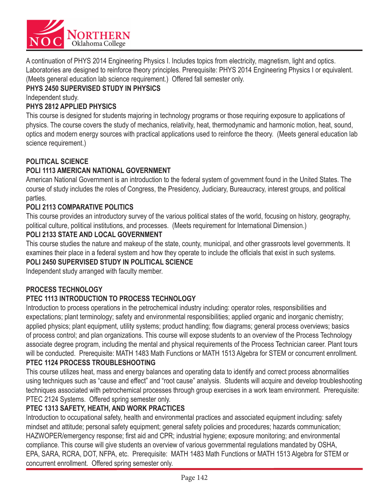

A continuation of PHYS 2014 Engineering Physics I. Includes topics from electricity, magnetism, light and optics. Laboratories are designed to reinforce theory principles. Prerequisite: PHYS 2014 Engineering Physics I or equivalent. (Meets general education lab science requirement.) Offered fall semester only.

### **PHYS 2450 SUPERVISED STUDY IN PHYSICS**

Independent study.

### **PHYS 2812 APPLIED PHYSICS**

This course is designed for students majoring in technology programs or those requiring exposure to applications of physics. The course covers the study of mechanics, relativity, heat, thermodynamic and harmonic motion, heat, sound, optics and modern energy sources with practical applications used to reinforce the theory. (Meets general education lab science requirement.)

### **POLITICAL SCIENCE**

### **POLI 1113 AMERICAN NATIONAL GOVERNMENT**

American National Government is an introduction to the federal system of government found in the United States. The course of study includes the roles of Congress, the Presidency, Judiciary, Bureaucracy, interest groups, and political parties.

### **POLI 2113 COMPARATIVE POLITICS**

This course provides an introductory survey of the various political states of the world, focusing on history, geography, political culture, political institutions, and processes. (Meets requirement for International Dimension.)

#### **POLI 2133 STATE AND LOCAL GOVERNMENT**

This course studies the nature and makeup of the state, county, municipal, and other grassroots level governments. It examines their place in a federal system and how they operate to include the officials that exist in such systems.

#### **POLI 2450 SUPERVISED STUDY IN POLITICAL SCIENCE**

Independent study arranged with faculty member.

#### **PROCESS TECHNOLOGY**

### **PTEC 1113 INTRODUCTION TO PROCESS TECHNOLOGY**

Introduction to process operations in the petrochemical industry including: operator roles, responsibilities and expectations; plant terminology; safety and environmental responsibilities; applied organic and inorganic chemistry; applied physics; plant equipment, utility systems; product handling; flow diagrams; general process overviews; basics of process control; and plan organizations. This course will expose students to an overview of the Process Technology associate degree program, including the mental and physical requirements of the Process Technician career. Plant tours will be conducted. Prerequisite: MATH 1483 Math Functions or MATH 1513 Algebra for STEM or concurrent enrollment.

#### **PTEC 1124 PROCESS TROUBLESHOOTING**

This course utilizes heat, mass and energy balances and operating data to identify and correct process abnormalities using techniques such as "cause and effect" and "root cause" analysis. Students will acquire and develop troubleshooting techniques associated with petrochemical processes through group exercises in a work team environment. Prerequisite: PTEC 2124 Systems. Offered spring semester only.

### **PTEC 1313 SAFETY, HEATH, AND WORK PRACTICES**

Introduction to occupational safety, health and environmental practices and associated equipment including: safety mindset and attitude; personal safety equipment; general safety policies and procedures; hazards communication; HAZWOPER/emergency response; first aid and CPR; industrial hygiene; exposure monitoring; and environmental compliance. This course will give students an overview of various governmental regulations mandated by OSHA, EPA, SARA, RCRA, DOT, NFPA, etc. Prerequisite: MATH 1483 Math Functions or MATH 1513 Algebra for STEM or concurrent enrollment. Offered spring semester only.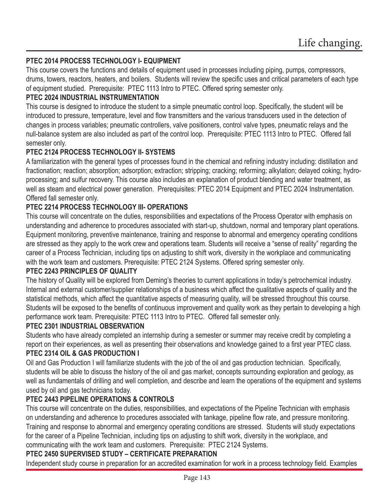### **PTEC 2014 PROCESS TECHNOLOGY I- EQUIPMENT**

This course covers the functions and details of equipment used in processes including piping, pumps, compressors, drums, towers, reactors, heaters, and boilers. Students will review the specific uses and critical parameters of each type of equipment studied. Prerequisite: PTEC 1113 Intro to PTEC. Offered spring semester only.

#### **PTEC 2024 INDUSTRIAL INSTRUMENTATION**

This course is designed to introduce the student to a simple pneumatic control loop. Specifically, the student will be introduced to pressure, temperature, level and flow transmitters and the various transducers used in the detection of changes in process variables; pneumatic controllers, valve positioners, control valve types, pneumatic relays and the null-balance system are also included as part of the control loop. Prerequisite: PTEC 1113 Intro to PTEC. Offered fall semester only.

#### **PTEC 2124 PROCESS TECHNOLOGY II- SYSTEMS**

A familiarization with the general types of processes found in the chemical and refining industry including: distillation and fractionation; reaction; absorption; adsorption; extraction; stripping; cracking; reforming; alkylation; delayed coking; hydroprocessing; and sulfur recovery. This course also includes an explanation of product blending and water treatment, as well as steam and electrical power generation. Prerequisites: PTEC 2014 Equipment and PTEC 2024 Instrumentation. Offered fall semester only.

### **PTEC 2214 PROCESS TECHNOLOGY III- OPERATIONS**

This course will concentrate on the duties, responsibilities and expectations of the Process Operator with emphasis on understanding and adherence to procedures associated with start-up, shutdown, normal and temporary plant operations. Equipment monitoring, preventive maintenance, training and response to abnormal and emergency operating conditions are stressed as they apply to the work crew and operations team. Students will receive a "sense of reality" regarding the career of a Process Technician, including tips on adjusting to shift work, diversity in the workplace and communicating with the work team and customers. Prerequisite: PTEC 2124 Systems. Offered spring semester only.

#### **PTEC 2243 PRINCIPLES OF QUALITY**

The history of Quality will be explored from Deming's theories to current applications in today's petrochemical industry. Internal and external customer/supplier relationships of a business which affect the qualitative aspects of quality and the statistical methods, which affect the quantitative aspects of measuring quality, will be stressed throughout this course. Students will be exposed to the benefits of continuous improvement and quality work as they pertain to developing a high performance work team. Prerequisite: PTEC 1113 Intro to PTEC. Offered fall semester only.

#### **PTEC 2301 INDUSTRIAL OBSERVATION**

Students who have already completed an internship during a semester or summer may receive credit by completing a report on their experiences, as well as presenting their observations and knowledge gained to a first year PTEC class.

### **PTEC 2314 OIL & GAS PRODUCTION I**

Oil and Gas Production I will familiarize students with the job of the oil and gas production technician. Specifically, students will be able to discuss the history of the oil and gas market, concepts surrounding exploration and geology, as well as fundamentals of drilling and well completion, and describe and learn the operations of the equipment and systems used by oil and gas technicians today.

### **PTEC 2443 PIPELINE OPERATIONS & CONTROLS**

This course will concentrate on the duties, responsibilities, and expectations of the Pipeline Technician with emphasis on understanding and adherence to procedures associated with tankage, pipeline flow rate, and pressure monitoring. Training and response to abnormal and emergency operating conditions are stressed. Students will study expectations for the career of a Pipeline Technician, including tips on adjusting to shift work, diversity in the workplace, and communicating with the work team and customers. Prerequisite: PTEC 2124 Systems.

#### **PTEC 2450 SUPERVISED STUDY – CERTIFICATE PREPARATION**

Independent study course in preparation for an accredited examination for work in a process technology field. Examples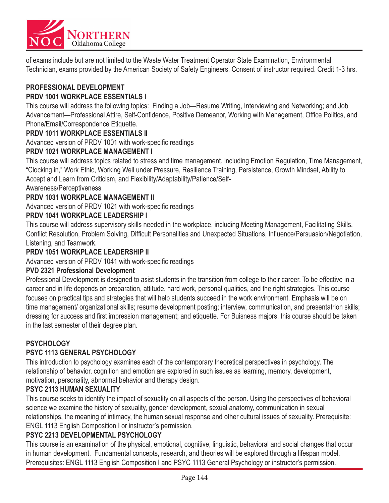

of exams include but are not limited to the Waste Water Treatment Operator State Examination, Environmental Technician, exams provided by the American Society of Safety Engineers. Consent of instructor required. Credit 1-3 hrs.

### **PROFESSIONAL DEVELOPMENT**

### **PRDV 1001 WORKPLACE ESSENTIALS I**

This course will address the following topics: Finding a Job—Resume Writing, Interviewing and Networking; and Job Advancement—Professional Attire, Self-Confidence, Positive Demeanor, Working with Management, Office Politics, and Phone/Email/Correspondence Etiquette.

#### **PRDV 1011 WORKPLACE ESSENTIALS II**

Advanced version of PRDV 1001 with work-specific readings

#### **PRDV 1021 WORKPLACE MANAGEMENT I**

This course will address topics related to stress and time management, including Emotion Regulation, Time Management, "Clocking in," Work Ethic, Working Well under Pressure, Resilience Training, Persistence, Growth Mindset, Ability to Accept and Learn from Criticism, and Flexibility/Adaptability/Patience/Self-

#### Awareness/Perceptiveness

#### **PRDV 1031 WORKPLACE MANAGEMENT II**

Advanced version of PRDV 1021 with work-specific readings

#### **PRDV 1041 WORKPLACE LEADERSHIP I**

This course will address supervisory skills needed in the workplace, including Meeting Management, Facilitating Skills, Conflict Resolution, Problem Solving, Difficult Personalities and Unexpected Situations, Influence/Persuasion/Negotiation, Listening, and Teamwork.

#### **PRDV 1051 WORKPLACE LEADERSHIP II**

Advanced version of PRDV 1041 with work-specific readings

#### **PVD 2321 Professional Development**

Professional Development is designed to asist students in the transition from college to their career. To be effective in a career and in life depends on preparation, attitude, hard work, personal qualities, and the right strategies. This course focuses on practical tips and strategies that will help students succeed in the work environment. Emphasis will be on time management/ organizational skills; resume development posting; interview, communication, and presentatrion skills; dressing for success and first impression management; and etiquette. For Buisness majors, this course should be taken in the last semester of their degree plan.

#### **PSYCHOLOGY**

#### **PSYC 1113 GENERAL PSYCHOLOGY**

This introduction to psychology examines each of the contemporary theoretical perspectives in psychology. The relationship of behavior, cognition and emotion are explored in such issues as learning, memory, development, motivation, personality, abnormal behavior and therapy design.

#### **PSYC 2113 HUMAN SEXUALITY**

This course seeks to identify the impact of sexuality on all aspects of the person. Using the perspectives of behavioral science we examine the history of sexuality, gender development, sexual anatomy, communication in sexual relationships, the meaning of intimacy, the human sexual response and other cultural issues of sexuality. Prerequisite: ENGL 1113 English Composition I or instructor's permission.

#### **PSYC 2213 DEVELOPMENTAL PSYCHOLOGY**

This course is an examination of the physical, emotional, cognitive, linguistic, behavioral and social changes that occur in human development. Fundamental concepts, research, and theories will be explored through a lifespan model. Prerequisites: ENGL 1113 English Composition I and PSYC 1113 General Psychology or instructor's permission.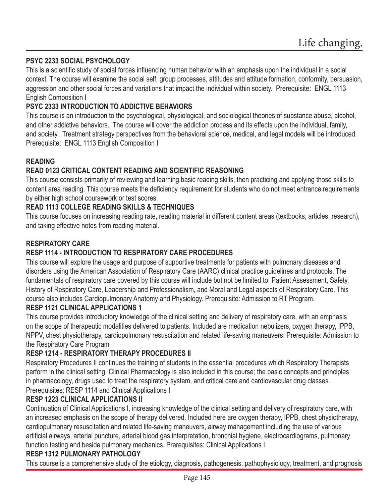### **PSYC 2233 SOCIAL PSYCHOLOGY**

This is a scientific study of social forces influencing human behavior with an emphasis upon the individual in a social context. The course will examine the social self, group processes, attitudes and attitude formation, conformity, persuasion, aggression and other social forces and variations that impact the individual within society. Prerequisite: ENGL 1113 English Composition I

### **PSYC 2333 INTRODUCTION TO ADDICTIVE BEHAVIORS**

This course is an introduction to the psychological, physiological, and sociological theories of substance abuse, alcohol, and other addictive behaviors. The course will cover the addiction process and its effects upon the individual, family, and society. Treatment strategy perspectives from the behavioral science, medical, and legal models will be introduced. Prerequisite: ENGL 1113 English Composition I

### **READING**

### **READ 0123 CRITICAL CONTENT READING AND SCIENTIFIC REASONING**

This course consists primarily of reviewing and learning basic reading skills, then practicing and applying those skills to content area reading. This course meets the deficiency requirement for students who do not meet entrance requirements by either high school coursework or test scores.

### **READ 1113 COLLEGE READING SKILLS & TECHNIQUES**

This course focuses on increasing reading rate, reading material in different content areas (textbooks, articles, research), and taking effective notes from reading material.

### **RESPIRATORY CARE**

## **RESP 1114 - INTRODUCTION TO RESPIRATORY CARE PROCEDURES**

This course will explore the usage and purpose of supportive treatments for patients with pulmonary diseases and disorders using the American Association of Respiratory Care (AARC) clinical practice guidelines and protocols. The fundamentals of respiratory care covered by this course will include but not be limited to: Patient Assessment, Safety, History of Respiratory Care, Leadership and Professionalism, and Moral and Legal aspects of Respiratory Care. This course also includes Cardiopulmonary Anatomy and Physiology. Prerequisite: Admission to RT Program.

#### **RESP 1121 CLINICAL APPLICATIONS 1**

This course provides introductory knowledge of the clinical setting and delivery of respiratory care, with an emphasis on the scope of therapeutic modalities delivered to patients. Included are medication nebulizers, oxygen therapy, IPPB, NPPV, chest physiotherapy, cardiopulmonary resuscitation and related life-saving maneuvers. Prerequisite: Admission to the Respiratory Care Program

### **RESP 1214 - RESPIRATORY THERAPY PROCEDURES II**

Respiratory Procedures II continues the training of students in the essential procedures which Respiratory Therapists perform in the clinical setting. Clinical Pharmacology is also included in this course; the basic concepts and principles in pharmacology, drugs used to treat the respiratory system, and critical care and cardiovascular drug classes. Prerequisites: RESP 1114 and Clinical Applications I

### **RESP 1223 CLINICAL APPLICATIONS II**

Continuation of Clinical Applications I, increasing knowledge of the clinical setting and delivery of respiratory care, with an increased emphasis on the scope of therapy delivered. Included here are oxygen therapy, IPPB, chest physiotherapy, cardiopulmonary resuscitation and related life-saving maneuvers, airway management including the use of various artificial airways, arterial puncture, arterial blood gas interpretation, bronchial hygiene, electrocardiograms, pulmonary function testing and beside pulmonary mechanics. Prerequisites: Clinical Applications I

#### **RESP 1312 PULMONARY PATHOLOGY**

This course is a comprehensive study of the etiology, diagnosis, pathogenesis, pathophysiology, treatment, and prognosis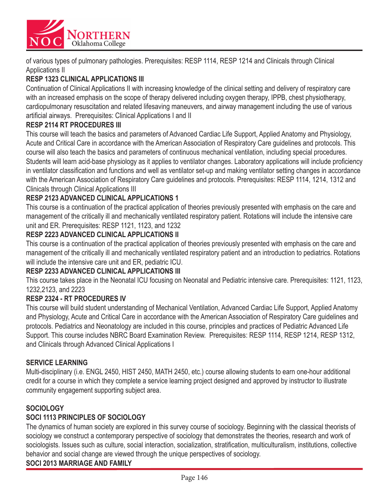

of various types of pulmonary pathologies. Prerequisites: RESP 1114, RESP 1214 and Clinicals through Clinical Applications II

### **RESP 1323 CLINICAL APPLICATIONS III**

Continuation of Clinical Applications II with increasing knowledge of the clinical setting and delivery of respiratory care with an increased emphasis on the scope of therapy delivered including oxygen therapy, IPPB, chest physiotherapy, cardiopulmonary resuscitation and related lifesaving maneuvers, and airway management including the use of various artificial airways. Prerequisites: Clinical Applications I and II

### **RESP 2114 RT PROCEDURES III**

This course will teach the basics and parameters of Advanced Cardiac Life Support, Applied Anatomy and Physiology, Acute and Critical Care in accordance with the American Association of Respiratory Care guidelines and protocols. This course will also teach the basics and parameters of continuous mechanical ventilation, including special procedures. Students will learn acid-base physiology as it applies to ventilator changes. Laboratory applications will include proficiency in ventilator classification and functions and well as ventilator set-up and making ventilator setting changes in accordance with the American Association of Respiratory Care guidelines and protocols. Prerequisites: RESP 1114, 1214, 1312 and Clinicals through Clinical Applications III

### **RESP 2123 ADVANCED CLINICAL APPLICATIONS 1**

This course is a continuation of the practical application of theories previously presented with emphasis on the care and management of the critically ill and mechanically ventilated respiratory patient. Rotations will include the intensive care unit and ER. Prerequisites: RESP 1121, 1123, and 1232

### **RESP 2223 ADVANCED CLINICAL APPLICATIONS II**

This course is a continuation of the practical application of theories previously presented with emphasis on the care and management of the critically ill and mechanically ventilated respiratory patient and an introduction to pediatrics. Rotations will include the intensive care unit and ER, pediatric ICU.

#### **RESP 2233 ADVANCED CLINICAL APPLICATIONS III**

This course takes place in the Neonatal ICU focusing on Neonatal and Pediatric intensive care. Prerequisites: 1121, 1123, 1232,2123, and 2223

#### **RESP 2324 - RT PROCEDURES IV**

This course will build student understanding of Mechanical Ventilation, Advanced Cardiac Life Support, Applied Anatomy and Physiology, Acute and Critical Care in accordance with the American Association of Respiratory Care guidelines and protocols. Pediatrics and Neonatology are included in this course, principles and practices of Pediatric Advanced Life Support. This course includes NBRC Board Examination Review. Prerequisites: RESP 1114, RESP 1214, RESP 1312, and Clinicals through Advanced Clinical Applications I

#### **SERVICE LEARNING**

Multi-disciplinary (i.e. ENGL 2450, HIST 2450, MATH 2450, etc.) course allowing students to earn one-hour additional credit for a course in which they complete a service learning project designed and approved by instructor to illustrate community engagement supporting subject area.

### **SOCIOLOGY**

### **SOCI 1113 PRINCIPLES OF SOCIOLOGY**

The dynamics of human society are explored in this survey course of sociology. Beginning with the classical theorists of sociology we construct a contemporary perspective of sociology that demonstrates the theories, research and work of sociologists. Issues such as culture, social interaction, socialization, stratification, multiculturalism, institutions, collective behavior and social change are viewed through the unique perspectives of sociology. **SOCI 2013 MARRIAGE AND FAMILY**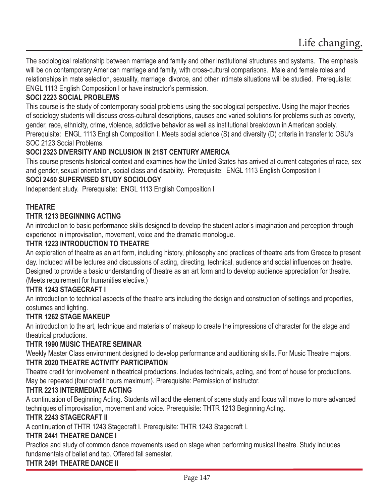The sociological relationship between marriage and family and other institutional structures and systems. The emphasis will be on contemporary American marriage and family, with cross-cultural comparisons. Male and female roles and relationships in mate selection, sexuality, marriage, divorce, and other intimate situations will be studied. Prerequisite: ENGL 1113 English Composition I or have instructor's permission.

### **SOCI 2223 SOCIAL PROBLEMS**

This course is the study of contemporary social problems using the sociological perspective. Using the major theories of sociology students will discuss cross-cultural descriptions, causes and varied solutions for problems such as poverty, gender, race, ethnicity, crime, violence, addictive behavior as well as institutional breakdown in American society. Prerequisite: ENGL 1113 English Composition I. Meets social science (S) and diversity (D) criteria in transfer to OSU's SOC 2123 Social Problems.

#### **SOCI 2323 DIVERSITY AND INCLUSION IN 21ST CENTURY AMERICA**

This course presents historical context and examines how the United States has arrived at current categories of race, sex and gender, sexual orientation, social class and disability. Prerequisite: ENGL 1113 English Composition I

### **SOCI 2450 SUPERVISED STUDY SOCIOLOGY**

Independent study. Prerequisite: ENGL 1113 English Composition I

### **THEATRE**

#### **THTR 1213 BEGINNING ACTING**

An introduction to basic performance skills designed to develop the student actor's imagination and perception through experience in improvisation, movement, voice and the dramatic monologue.

#### **THTR 1223 INTRODUCTION TO THEATRE**

An exploration of theatre as an art form, including history, philosophy and practices of theatre arts from Greece to present day. Included will be lectures and discussions of acting, directing, technical, audience and social influences on theatre. Designed to provide a basic understanding of theatre as an art form and to develop audience appreciation for theatre. (Meets requirement for humanities elective.)

#### **THTR 1243 STAGECRAFT I**

An introduction to technical aspects of the theatre arts including the design and construction of settings and properties, costumes and lighting.

### **THTR 1262 STAGE MAKEUP**

An introduction to the art, technique and materials of makeup to create the impressions of character for the stage and theatrical productions.

#### **THTR 1990 MUSIC THEATRE SEMINAR**

Weekly Master Class environment designed to develop performance and auditioning skills. For Music Theatre majors. **THTR 2020 THEATRE ACTIVITY PARTICIPATION**

Theatre credit for involvement in theatrical productions. Includes technicals, acting, and front of house for productions. May be repeated (four credit hours maximum). Prerequisite: Permission of instructor.

#### **THTR 2213 INTERMEDIATE ACTING**

A continuation of Beginning Acting. Students will add the element of scene study and focus will move to more advanced techniques of improvisation, movement and voice. Prerequisite: THTR 1213 Beginning Acting.

#### **THTR 2243 STAGECRAFT II**

A continuation of THTR 1243 Stagecraft I. Prerequisite: THTR 1243 Stagecraft I.

#### **THTR 2441 THEATRE DANCE I**

Practice and study of common dance movements used on stage when performing musical theatre. Study includes fundamentals of ballet and tap. Offered fall semester.

#### **THTR 2491 THEATRE DANCE II**